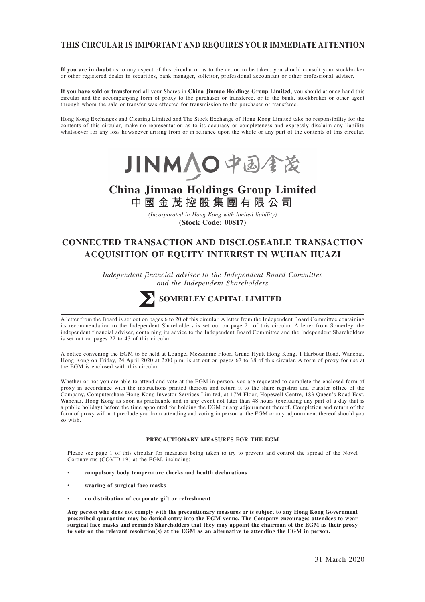## **THIS CIRCULAR IS IMPORTANT AND REQUIRES YOUR IMMEDIATE ATTENTION**

**If you are in doubt** as to any aspect of this circular or as to the action to be taken, you should consult your stockbroker or other registered dealer in securities, bank manager, solicitor, professional accountant or other professional adviser.

**If you have sold or transferred** all your Shares in **China Jinmao Holdings Group Limited**, you should at once hand this circular and the accompanying form of proxy to the purchaser or transferee, or to the bank, stockbroker or other agent through whom the sale or transfer was effected for transmission to the purchaser or transferee.

Hong Kong Exchanges and Clearing Limited and The Stock Exchange of Hong Kong Limited take no responsibility for the contents of this circular, make no representation as to its accuracy or completeness and expressly disclaim any liability whatsoever for any loss howsoever arising from or in reliance upon the whole or any part of the contents of this circular.



# **China Jinmao Holdings Group Limited 中國金茂控股集團有限公司**

*(Incorporated in Hong Kong with limited liability)* **(Stock Code: 00817)**

# **CONNECTED TRANSACTION AND DISCLOSEABLE TRANSACTION ACQUISITION OF EQUITY INTEREST IN WUHAN HUAZI**

*Independent financial adviser to the Independent Board Committee and the Independent Shareholders*



## **SOMERLEY CAPITAL LIMITED**

A letter from the Board is set out on pages 6 to 20 of this circular. A letter from the Independent Board Committee containing its recommendation to the Independent Shareholders is set out on page 21 of this circular. A letter from Somerley, the independent financial adviser, containing its advice to the Independent Board Committee and the Independent Shareholders is set out on pages 22 to 43 of this circular.

A notice convening the EGM to be held at Lounge, Mezzanine Floor, Grand Hyatt Hong Kong, 1 Harbour Road, Wanchai, Hong Kong on Friday, 24 April 2020 at 2:00 p.m. is set out on pages 67 to 68 of this circular. A form of proxy for use at the EGM is enclosed with this circular.

Whether or not you are able to attend and vote at the EGM in person, you are requested to complete the enclosed form of proxy in accordance with the instructions printed thereon and return it to the share registrar and transfer office of the Company, Computershare Hong Kong Investor Services Limited, at 17M Floor, Hopewell Centre, 183 Queen's Road East, Wanchai, Hong Kong as soon as practicable and in any event not later than 48 hours (excluding any part of a day that is a public holiday) before the time appointed for holding the EGM or any adjournment thereof. Completion and return of the form of proxy will not preclude you from attending and voting in person at the EGM or any adjournment thereof should you so wish.

#### **PRECAUTIONARY MEASURES FOR THE EGM**

Please see page 1 of this circular for measures being taken to try to prevent and control the spread of the Novel Coronavirus (COVID-19) at the EGM, including:

- **compulsory body temperature checks and health declarations**
- **wearing of surgical face masks**
- **no distribution of corporate gift or refreshment**

**Any person who does not comply with the precautionary measures or is subject to any Hong Kong Government prescribed quarantine may be denied entry into the EGM venue. The Company encourages attendees to wear surgical face masks and reminds Shareholders that they may appoint the chairman of the EGM as their proxy to vote on the relevant resolution(s) at the EGM as an alternative to attending the EGM in person.**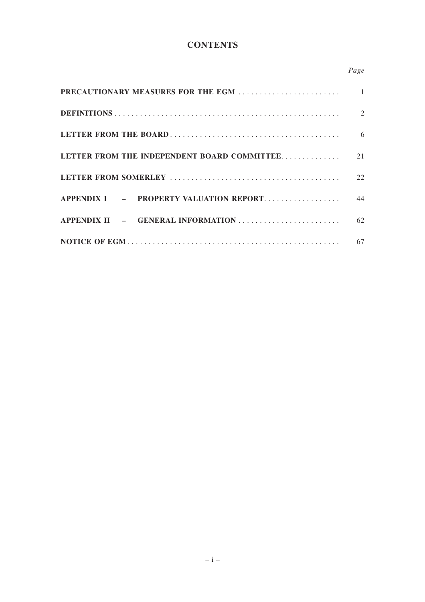# **CONTENTS**

## *Page*

| <b>PRECAUTIONARY MEASURES FOR THE EGM </b>  | $\mathbf{1}$ |
|---------------------------------------------|--------------|
|                                             | 2            |
|                                             | 6            |
| LETTER FROM THE INDEPENDENT BOARD COMMITTEE | 21           |
|                                             | 22           |
| APPENDIX I - PROPERTY VALUATION REPORT      | 44           |
| APPENDIX II - GENERAL INFORMATION           | 62           |
|                                             | 67           |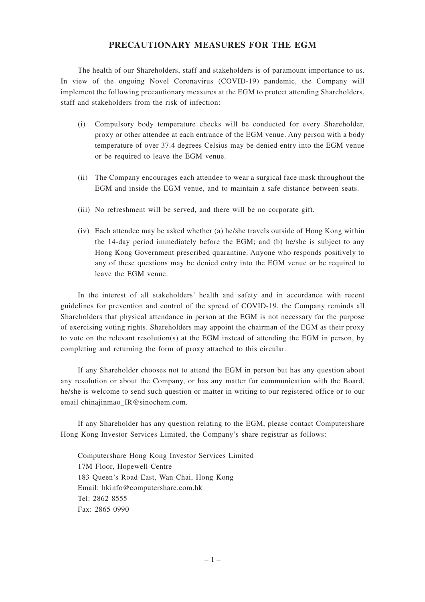## **PRECAUTIONARY MEASURES FOR THE EGM**

The health of our Shareholders, staff and stakeholders is of paramount importance to us. In view of the ongoing Novel Coronavirus (COVID-19) pandemic, the Company will implement the following precautionary measures at the EGM to protect attending Shareholders, staff and stakeholders from the risk of infection:

- (i) Compulsory body temperature checks will be conducted for every Shareholder, proxy or other attendee at each entrance of the EGM venue. Any person with a body temperature of over 37.4 degrees Celsius may be denied entry into the EGM venue or be required to leave the EGM venue.
- (ii) The Company encourages each attendee to wear a surgical face mask throughout the EGM and inside the EGM venue, and to maintain a safe distance between seats.
- (iii) No refreshment will be served, and there will be no corporate gift.
- (iv) Each attendee may be asked whether (a) he/she travels outside of Hong Kong within the 14-day period immediately before the EGM; and (b) he/she is subject to any Hong Kong Government prescribed quarantine. Anyone who responds positively to any of these questions may be denied entry into the EGM venue or be required to leave the EGM venue.

In the interest of all stakeholders' health and safety and in accordance with recent guidelines for prevention and control of the spread of COVID-19, the Company reminds all Shareholders that physical attendance in person at the EGM is not necessary for the purpose of exercising voting rights. Shareholders may appoint the chairman of the EGM as their proxy to vote on the relevant resolution(s) at the EGM instead of attending the EGM in person, by completing and returning the form of proxy attached to this circular.

If any Shareholder chooses not to attend the EGM in person but has any question about any resolution or about the Company, or has any matter for communication with the Board, he/she is welcome to send such question or matter in writing to our registered office or to our email chinajinmao\_IR@sinochem.com.

If any Shareholder has any question relating to the EGM, please contact Computershare Hong Kong Investor Services Limited, the Company's share registrar as follows:

Computershare Hong Kong Investor Services Limited 17M Floor, Hopewell Centre 183 Queen's Road East, Wan Chai, Hong Kong Email: hkinfo@computershare.com.hk Tel: 2862 8555 Fax: 2865 0990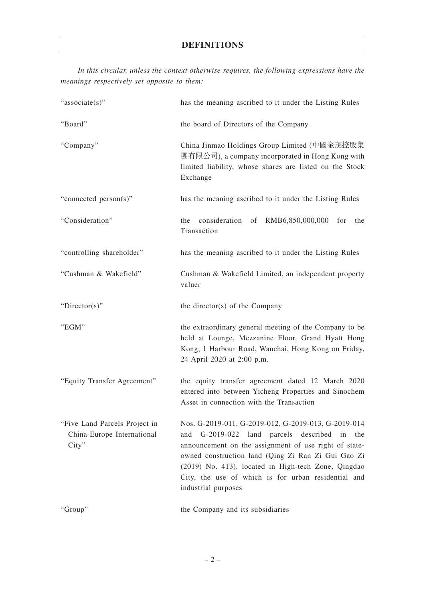*In this circular, unless the context otherwise requires, the following expressions have the meanings respectively set opposite to them:*

| "associate(s)"                                                       | has the meaning ascribed to it under the Listing Rules                                                                                                                                                                                                                                                                                                        |  |  |
|----------------------------------------------------------------------|---------------------------------------------------------------------------------------------------------------------------------------------------------------------------------------------------------------------------------------------------------------------------------------------------------------------------------------------------------------|--|--|
| "Board"                                                              | the board of Directors of the Company                                                                                                                                                                                                                                                                                                                         |  |  |
| "Company"                                                            | China Jinmao Holdings Group Limited (中國金茂控股集<br>團有限公司), a company incorporated in Hong Kong with<br>limited liability, whose shares are listed on the Stock<br>Exchange                                                                                                                                                                                       |  |  |
| "connected person(s)"                                                | has the meaning ascribed to it under the Listing Rules                                                                                                                                                                                                                                                                                                        |  |  |
| "Consideration"                                                      | $consideration$ of $RMB6,850,000,000$<br>the<br>for<br>the<br>Transaction                                                                                                                                                                                                                                                                                     |  |  |
| "controlling shareholder"                                            | has the meaning ascribed to it under the Listing Rules                                                                                                                                                                                                                                                                                                        |  |  |
| "Cushman & Wakefield"                                                | Cushman & Wakefield Limited, an independent property<br>valuer                                                                                                                                                                                                                                                                                                |  |  |
| " $Directory$ "                                                      | the director(s) of the Company                                                                                                                                                                                                                                                                                                                                |  |  |
| "EGM"                                                                | the extraordinary general meeting of the Company to be<br>held at Lounge, Mezzanine Floor, Grand Hyatt Hong<br>Kong, 1 Harbour Road, Wanchai, Hong Kong on Friday,<br>24 April 2020 at 2:00 p.m.                                                                                                                                                              |  |  |
| "Equity Transfer Agreement"                                          | the equity transfer agreement dated 12 March 2020<br>entered into between Yicheng Properties and Sinochem<br>Asset in connection with the Transaction                                                                                                                                                                                                         |  |  |
| "Five Land Parcels Project in<br>China-Europe International<br>City" | Nos. G-2019-011, G-2019-012, G-2019-013, G-2019-014<br>G-2019-022 land parcels described in<br>and<br>the<br>announcement on the assignment of use right of state-<br>owned construction land (Qing Zi Ran Zi Gui Gao Zi<br>(2019) No. 413), located in High-tech Zone, Qingdao<br>City, the use of which is for urban residential and<br>industrial purposes |  |  |
| "Group"                                                              | the Company and its subsidiaries                                                                                                                                                                                                                                                                                                                              |  |  |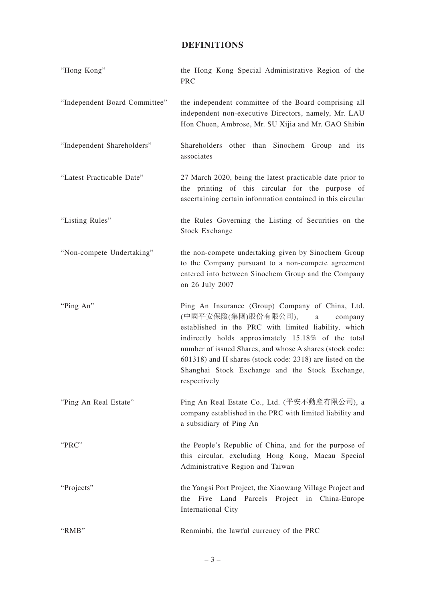| "Hong Kong"                   | the Hong Kong Special Administrative Region of the<br><b>PRC</b>                                                                                                                                                                                                                                                                                                                                             |
|-------------------------------|--------------------------------------------------------------------------------------------------------------------------------------------------------------------------------------------------------------------------------------------------------------------------------------------------------------------------------------------------------------------------------------------------------------|
| "Independent Board Committee" | the independent committee of the Board comprising all<br>independent non-executive Directors, namely, Mr. LAU<br>Hon Chuen, Ambrose, Mr. SU Xijia and Mr. GAO Shibin                                                                                                                                                                                                                                         |
| "Independent Shareholders"    | Shareholders other than Sinochem Group and its<br>associates                                                                                                                                                                                                                                                                                                                                                 |
| "Latest Practicable Date"     | 27 March 2020, being the latest practicable date prior to<br>the printing of this circular for the purpose of<br>ascertaining certain information contained in this circular                                                                                                                                                                                                                                 |
| "Listing Rules"               | the Rules Governing the Listing of Securities on the<br><b>Stock Exchange</b>                                                                                                                                                                                                                                                                                                                                |
| "Non-compete Undertaking"     | the non-compete undertaking given by Sinochem Group<br>to the Company pursuant to a non-compete agreement<br>entered into between Sinochem Group and the Company<br>on 26 July 2007                                                                                                                                                                                                                          |
| "Ping An"                     | Ping An Insurance (Group) Company of China, Ltd.<br>(中國平安保險(集團)股份有限公司),<br>$\mathbf{a}$<br>company<br>established in the PRC with limited liability, which<br>indirectly holds approximately 15.18% of the total<br>number of issued Shares, and whose A shares (stock code:<br>601318) and H shares (stock code: 2318) are listed on the<br>Shanghai Stock Exchange and the Stock Exchange,<br>respectively |
| "Ping An Real Estate"         | Ping An Real Estate Co., Ltd. (平安不動產有限公司), a<br>company established in the PRC with limited liability and<br>a subsidiary of Ping An                                                                                                                                                                                                                                                                         |
| "PRC"                         | the People's Republic of China, and for the purpose of<br>this circular, excluding Hong Kong, Macau Special<br>Administrative Region and Taiwan                                                                                                                                                                                                                                                              |
| "Projects"                    | the Yangsi Port Project, the Xiaowang Village Project and<br>Five Land Parcels Project in China-Europe<br>the                                                                                                                                                                                                                                                                                                |
|                               | International City                                                                                                                                                                                                                                                                                                                                                                                           |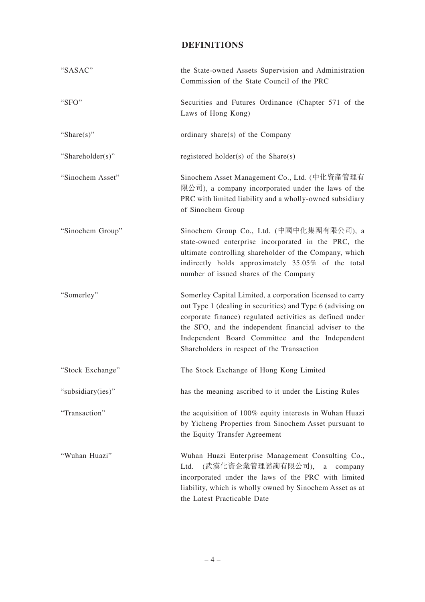| "SASAC"           | the State-owned Assets Supervision and Administration<br>Commission of the State Council of the PRC                                                                                                                                                                                                                                           |
|-------------------|-----------------------------------------------------------------------------------------------------------------------------------------------------------------------------------------------------------------------------------------------------------------------------------------------------------------------------------------------|
| "SFO"             | Securities and Futures Ordinance (Chapter 571 of the<br>Laws of Hong Kong)                                                                                                                                                                                                                                                                    |
| "Share $(s)$ "    | ordinary share(s) of the Company                                                                                                                                                                                                                                                                                                              |
| "Shareholder(s)"  | registered holder(s) of the Share(s)                                                                                                                                                                                                                                                                                                          |
| "Sinochem Asset"  | Sinochem Asset Management Co., Ltd. (中化資產管理有<br>限公司), a company incorporated under the laws of the<br>PRC with limited liability and a wholly-owned subsidiary<br>of Sinochem Group                                                                                                                                                           |
| "Sinochem Group"  | Sinochem Group Co., Ltd. (中國中化集團有限公司), a<br>state-owned enterprise incorporated in the PRC, the<br>ultimate controlling shareholder of the Company, which<br>indirectly holds approximately 35.05% of the total<br>number of issued shares of the Company                                                                                     |
| "Somerley"        | Somerley Capital Limited, a corporation licensed to carry<br>out Type 1 (dealing in securities) and Type 6 (advising on<br>corporate finance) regulated activities as defined under<br>the SFO, and the independent financial adviser to the<br>Independent Board Committee and the Independent<br>Shareholders in respect of the Transaction |
| "Stock Exchange"  | The Stock Exchange of Hong Kong Limited                                                                                                                                                                                                                                                                                                       |
| "subsidiary(ies)" | has the meaning ascribed to it under the Listing Rules                                                                                                                                                                                                                                                                                        |
| "Transaction"     | the acquisition of 100% equity interests in Wuhan Huazi<br>by Yicheng Properties from Sinochem Asset pursuant to<br>the Equity Transfer Agreement                                                                                                                                                                                             |
| "Wuhan Huazi"     | Wuhan Huazi Enterprise Management Consulting Co.,<br>(武漢化資企業管理諮詢有限公司),<br>Ltd.<br>a<br>company<br>incorporated under the laws of the PRC with limited<br>liability, which is wholly owned by Sinochem Asset as at<br>the Latest Practicable Date                                                                                              |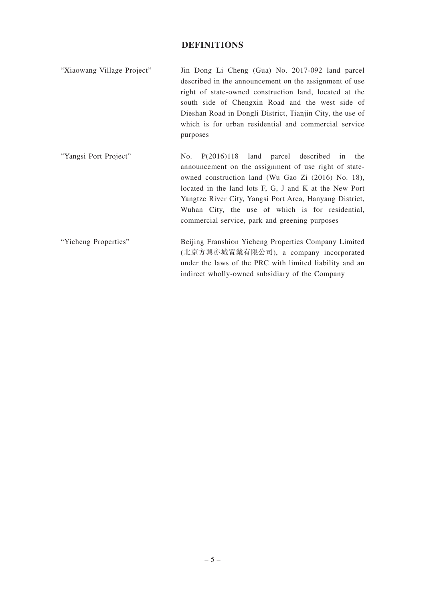| "Xiaowang Village Project" | Jin Dong Li Cheng (Gua) No. 2017-092 land parcel          |
|----------------------------|-----------------------------------------------------------|
|                            | described in the announcement on the assignment of use    |
|                            | right of state-owned construction land, located at the    |
|                            | south side of Chengxin Road and the west side of          |
|                            | Dieshan Road in Dongli District, Tianjin City, the use of |
|                            | which is for urban residential and commercial service     |
|                            | purposes                                                  |

"Yangsi Port Project" No. P(2016)118 land parcel described in the announcement on the assignment of use right of stateowned construction land (Wu Gao Zi (2016) No. 18), located in the land lots F, G, J and K at the New Port Yangtze River City, Yangsi Port Area, Hanyang District, Wuhan City, the use of which is for residential, commercial service, park and greening purposes

"Yicheng Properties" Beijing Franshion Yicheng Properties Company Limited (北京方興亦城置業有限公司), a company incorporated under the laws of the PRC with limited liability and an indirect wholly-owned subsidiary of the Company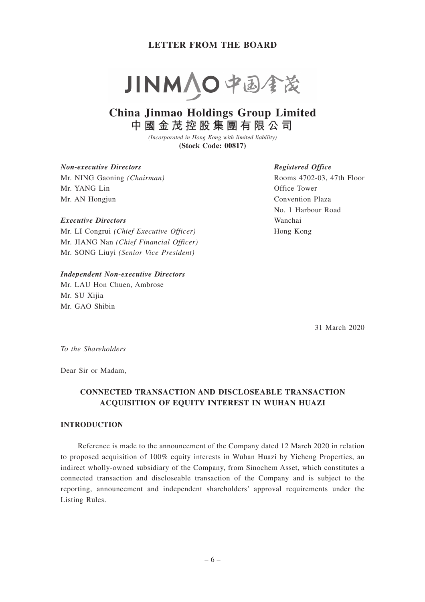

# **China Jinmao Holdings Group Limited 中國金茂控股集團有限公司**

*(Incorporated in Hong Kong with limited liability)* **(Stock Code: 00817)**

#### *Non-executive Directors*

Mr. NING Gaoning *(Chairman)* Mr. YANG Lin Mr. AN Hongjun

#### *Executive Directors*

Mr. LI Congrui *(Chief Executive Officer)* Mr. JIANG Nan *(Chief Financial Officer)* Mr. SONG Liuyi *(Senior Vice President)*

#### *Independent Non-executive Directors*

Mr. LAU Hon Chuen, Ambrose Mr. SU Xijia Mr. GAO Shibin

#### *Registered Office*

Rooms 4702-03, 47th Floor Office Tower Convention Plaza No. 1 Harbour Road Wanchai Hong Kong

31 March 2020

*To the Shareholders*

Dear Sir or Madam,

## **CONNECTED TRANSACTION AND DISCLOSEABLE TRANSACTION ACQUISITION OF EQUITY INTEREST IN WUHAN HUAZI**

### **INTRODUCTION**

Reference is made to the announcement of the Company dated 12 March 2020 in relation to proposed acquisition of 100% equity interests in Wuhan Huazi by Yicheng Properties, an indirect wholly-owned subsidiary of the Company, from Sinochem Asset, which constitutes a connected transaction and discloseable transaction of the Company and is subject to the reporting, announcement and independent shareholders' approval requirements under the Listing Rules.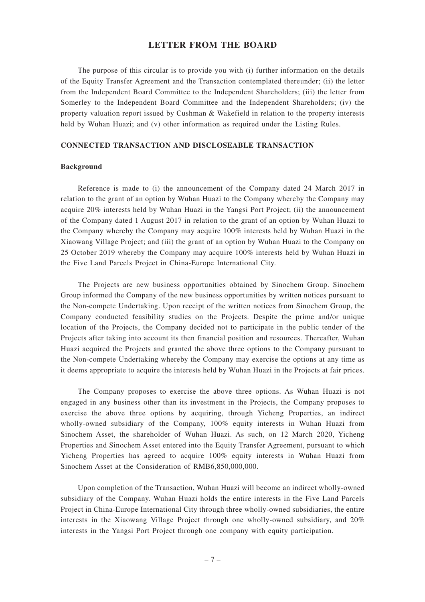The purpose of this circular is to provide you with (i) further information on the details of the Equity Transfer Agreement and the Transaction contemplated thereunder; (ii) the letter from the Independent Board Committee to the Independent Shareholders; (iii) the letter from Somerley to the Independent Board Committee and the Independent Shareholders; (iv) the property valuation report issued by Cushman & Wakefield in relation to the property interests held by Wuhan Huazi; and (v) other information as required under the Listing Rules.

#### **CONNECTED TRANSACTION AND DISCLOSEABLE TRANSACTION**

#### **Background**

Reference is made to (i) the announcement of the Company dated 24 March 2017 in relation to the grant of an option by Wuhan Huazi to the Company whereby the Company may acquire 20% interests held by Wuhan Huazi in the Yangsi Port Project; (ii) the announcement of the Company dated 1 August 2017 in relation to the grant of an option by Wuhan Huazi to the Company whereby the Company may acquire 100% interests held by Wuhan Huazi in the Xiaowang Village Project; and (iii) the grant of an option by Wuhan Huazi to the Company on 25 October 2019 whereby the Company may acquire 100% interests held by Wuhan Huazi in the Five Land Parcels Project in China-Europe International City.

The Projects are new business opportunities obtained by Sinochem Group. Sinochem Group informed the Company of the new business opportunities by written notices pursuant to the Non-compete Undertaking. Upon receipt of the written notices from Sinochem Group, the Company conducted feasibility studies on the Projects. Despite the prime and/or unique location of the Projects, the Company decided not to participate in the public tender of the Projects after taking into account its then financial position and resources. Thereafter, Wuhan Huazi acquired the Projects and granted the above three options to the Company pursuant to the Non-compete Undertaking whereby the Company may exercise the options at any time as it deems appropriate to acquire the interests held by Wuhan Huazi in the Projects at fair prices.

The Company proposes to exercise the above three options. As Wuhan Huazi is not engaged in any business other than its investment in the Projects, the Company proposes to exercise the above three options by acquiring, through Yicheng Properties, an indirect wholly-owned subsidiary of the Company, 100% equity interests in Wuhan Huazi from Sinochem Asset, the shareholder of Wuhan Huazi. As such, on 12 March 2020, Yicheng Properties and Sinochem Asset entered into the Equity Transfer Agreement, pursuant to which Yicheng Properties has agreed to acquire 100% equity interests in Wuhan Huazi from Sinochem Asset at the Consideration of RMB6,850,000,000.

Upon completion of the Transaction, Wuhan Huazi will become an indirect wholly-owned subsidiary of the Company. Wuhan Huazi holds the entire interests in the Five Land Parcels Project in China-Europe International City through three wholly-owned subsidiaries, the entire interests in the Xiaowang Village Project through one wholly-owned subsidiary, and 20% interests in the Yangsi Port Project through one company with equity participation.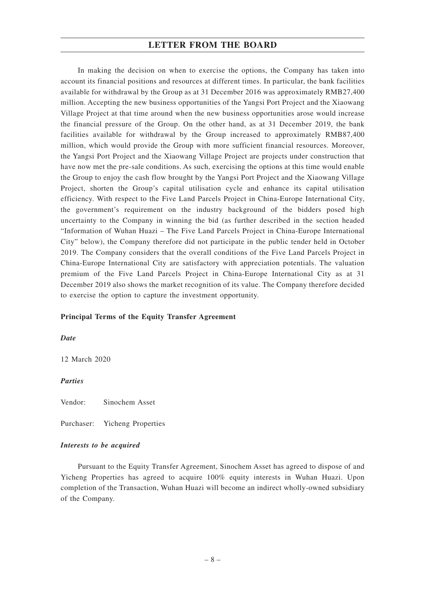In making the decision on when to exercise the options, the Company has taken into account its financial positions and resources at different times. In particular, the bank facilities available for withdrawal by the Group as at 31 December 2016 was approximately RMB27,400 million. Accepting the new business opportunities of the Yangsi Port Project and the Xiaowang Village Project at that time around when the new business opportunities arose would increase the financial pressure of the Group. On the other hand, as at 31 December 2019, the bank facilities available for withdrawal by the Group increased to approximately RMB87,400 million, which would provide the Group with more sufficient financial resources. Moreover, the Yangsi Port Project and the Xiaowang Village Project are projects under construction that have now met the pre-sale conditions. As such, exercising the options at this time would enable the Group to enjoy the cash flow brought by the Yangsi Port Project and the Xiaowang Village Project, shorten the Group's capital utilisation cycle and enhance its capital utilisation efficiency. With respect to the Five Land Parcels Project in China-Europe International City, the government's requirement on the industry background of the bidders posed high uncertainty to the Company in winning the bid (as further described in the section headed "Information of Wuhan Huazi – The Five Land Parcels Project in China-Europe International City" below), the Company therefore did not participate in the public tender held in October 2019. The Company considers that the overall conditions of the Five Land Parcels Project in China-Europe International City are satisfactory with appreciation potentials. The valuation premium of the Five Land Parcels Project in China-Europe International City as at 31 December 2019 also shows the market recognition of its value. The Company therefore decided to exercise the option to capture the investment opportunity.

#### **Principal Terms of the Equity Transfer Agreement**

*Date*

12 March 2020

*Parties*

Vendor: Sinochem Asset

Purchaser: Yicheng Properties

### *Interests to be acquired*

Pursuant to the Equity Transfer Agreement, Sinochem Asset has agreed to dispose of and Yicheng Properties has agreed to acquire 100% equity interests in Wuhan Huazi. Upon completion of the Transaction, Wuhan Huazi will become an indirect wholly-owned subsidiary of the Company.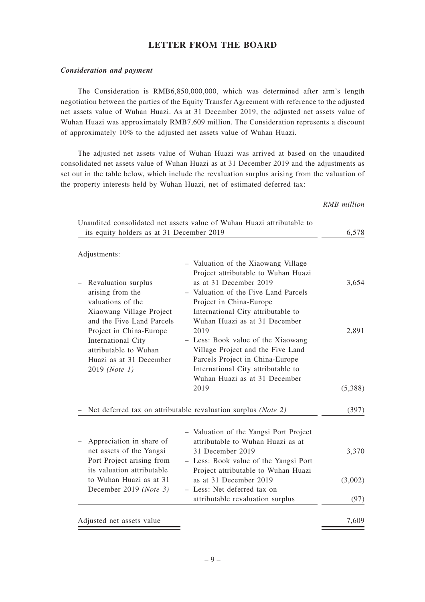#### *Consideration and payment*

The Consideration is RMB6,850,000,000, which was determined after arm's length negotiation between the parties of the Equity Transfer Agreement with reference to the adjusted net assets value of Wuhan Huazi. As at 31 December 2019, the adjusted net assets value of Wuhan Huazi was approximately RMB7,609 million. The Consideration represents a discount of approximately 10% to the adjusted net assets value of Wuhan Huazi.

The adjusted net assets value of Wuhan Huazi was arrived at based on the unaudited consolidated net assets value of Wuhan Huazi as at 31 December 2019 and the adjustments as set out in the table below, which include the revaluation surplus arising from the valuation of the property interests held by Wuhan Huazi, net of estimated deferred tax:

*RMB million*

| its equity holders as at 31 December 2019                                               | Unaudited consolidated net assets value of Wuhan Huazi attributable to                                                                                                  | 6,578   |
|-----------------------------------------------------------------------------------------|-------------------------------------------------------------------------------------------------------------------------------------------------------------------------|---------|
| Adjustments:                                                                            |                                                                                                                                                                         |         |
| Revaluation surplus<br>arising from the<br>valuations of the                            | - Valuation of the Xiaowang Village<br>Project attributable to Wuhan Huazi<br>as at 31 December 2019<br>- Valuation of the Five Land Parcels<br>Project in China-Europe | 3,654   |
| Xiaowang Village Project<br>and the Five Land Parcels<br>Project in China-Europe        | International City attributable to<br>Wuhan Huazi as at 31 December<br>2019                                                                                             | 2,891   |
| International City<br>attributable to Wuhan<br>Huazi as at 31 December<br>2019 (Note 1) | - Less: Book value of the Xiaowang<br>Village Project and the Five Land<br>Parcels Project in China-Europe<br>International City attributable to                        |         |
|                                                                                         | Wuhan Huazi as at 31 December<br>2019                                                                                                                                   | (5,388) |
|                                                                                         | Net deferred tax on attributable revaluation surplus (Note 2)                                                                                                           | (397)   |
| Appreciation in share of                                                                | - Valuation of the Yangsi Port Project<br>attributable to Wuhan Huazi as at                                                                                             |         |
| net assets of the Yangsi<br>Port Project arising from<br>its valuation attributable     | 31 December 2019<br>- Less: Book value of the Yangsi Port<br>Project attributable to Wuhan Huazi                                                                        | 3,370   |
| to Wuhan Huazi as at 31<br>December 2019 (Note 3)                                       | as at 31 December 2019<br>- Less: Net deferred tax on                                                                                                                   | (3,002) |
|                                                                                         | attributable revaluation surplus                                                                                                                                        | (97)    |
| Adjusted net assets value                                                               |                                                                                                                                                                         | 7,609   |

–9–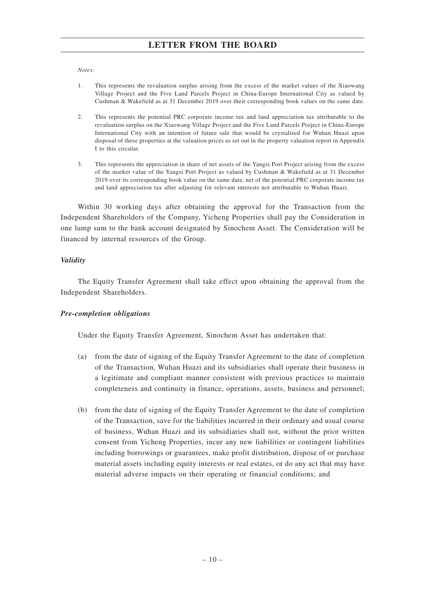#### *Notes:*

- 1. This represents the revaluation surplus arising from the excess of the market values of the Xiaowang Village Project and the Five Land Parcels Project in China-Europe International City as valued by Cushman & Wakefield as at 31 December 2019 over their corresponding book values on the same date.
- 2. This represents the potential PRC corporate income tax and land appreciation tax attributable to the revaluation surplus on the Xiaowang Village Project and the Five Land Parcels Project in China-Europe International City with an intention of future sale that would be crystalised for Wuhan Huazi upon disposal of these properties at the valuation prices as set out in the property valuation report in Appendix I to this circular.
- 3. This represents the appreciation in share of net assets of the Yangsi Port Project arising from the excess of the market value of the Yangsi Port Project as valued by Cushman & Wakefield as at 31 December 2019 over its corresponding book value on the same date, net of the potential PRC corporate income tax and land appreciation tax after adjusting for relevant interests not attributable to Wuhan Huazi.

Within 30 working days after obtaining the approval for the Transaction from the Independent Shareholders of the Company, Yicheng Properties shall pay the Consideration in one lump sum to the bank account designated by Sinochem Asset. The Consideration will be financed by internal resources of the Group.

#### *Validity*

The Equity Transfer Agreement shall take effect upon obtaining the approval from the Independent Shareholders.

#### *Pre-completion obligations*

Under the Equity Transfer Agreement, Sinochem Asset has undertaken that:

- (a) from the date of signing of the Equity Transfer Agreement to the date of completion of the Transaction, Wuhan Huazi and its subsidiaries shall operate their business in a legitimate and compliant manner consistent with previous practices to maintain completeness and continuity in finance, operations, assets, business and personnel;
- (b) from the date of signing of the Equity Transfer Agreement to the date of completion of the Transaction, save for the liabilities incurred in their ordinary and usual course of business, Wuhan Huazi and its subsidiaries shall not, without the prior written consent from Yicheng Properties, incur any new liabilities or contingent liabilities including borrowings or guarantees, make profit distribution, dispose of or purchase material assets including equity interests or real estates, or do any act that may have material adverse impacts on their operating or financial conditions; and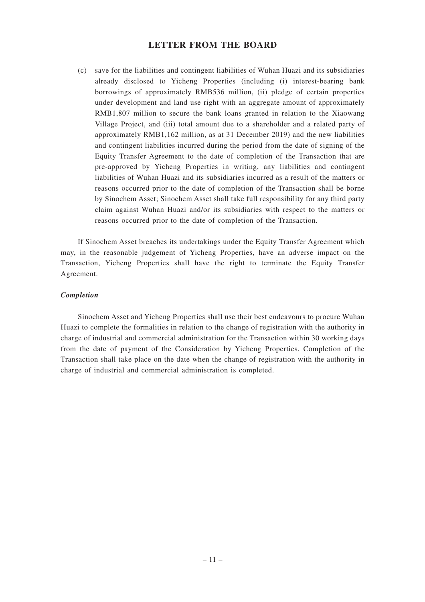(c) save for the liabilities and contingent liabilities of Wuhan Huazi and its subsidiaries already disclosed to Yicheng Properties (including (i) interest-bearing bank borrowings of approximately RMB536 million, (ii) pledge of certain properties under development and land use right with an aggregate amount of approximately RMB1,807 million to secure the bank loans granted in relation to the Xiaowang Village Project, and (iii) total amount due to a shareholder and a related party of approximately RMB1,162 million, as at 31 December 2019) and the new liabilities and contingent liabilities incurred during the period from the date of signing of the Equity Transfer Agreement to the date of completion of the Transaction that are pre-approved by Yicheng Properties in writing, any liabilities and contingent liabilities of Wuhan Huazi and its subsidiaries incurred as a result of the matters or reasons occurred prior to the date of completion of the Transaction shall be borne by Sinochem Asset; Sinochem Asset shall take full responsibility for any third party claim against Wuhan Huazi and/or its subsidiaries with respect to the matters or reasons occurred prior to the date of completion of the Transaction.

If Sinochem Asset breaches its undertakings under the Equity Transfer Agreement which may, in the reasonable judgement of Yicheng Properties, have an adverse impact on the Transaction, Yicheng Properties shall have the right to terminate the Equity Transfer Agreement.

#### *Completion*

Sinochem Asset and Yicheng Properties shall use their best endeavours to procure Wuhan Huazi to complete the formalities in relation to the change of registration with the authority in charge of industrial and commercial administration for the Transaction within 30 working days from the date of payment of the Consideration by Yicheng Properties. Completion of the Transaction shall take place on the date when the change of registration with the authority in charge of industrial and commercial administration is completed.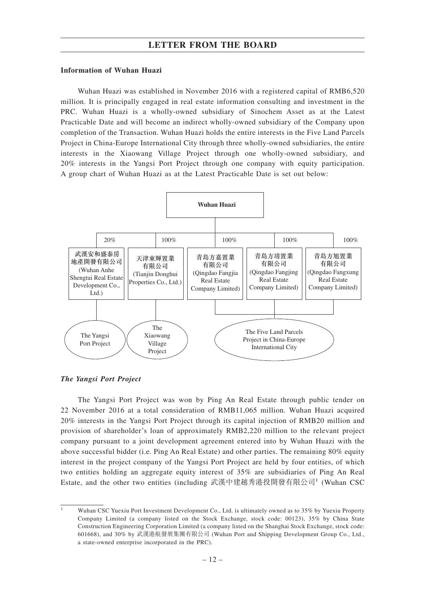#### **Information of Wuhan Huazi**

Wuhan Huazi was established in November 2016 with a registered capital of RMB6,520 million. It is principally engaged in real estate information consulting and investment in the PRC. Wuhan Huazi is a wholly-owned subsidiary of Sinochem Asset as at the Latest Practicable Date and will become an indirect wholly-owned subsidiary of the Company upon completion of the Transaction. Wuhan Huazi holds the entire interests in the Five Land Parcels Project in China-Europe International City through three wholly-owned subsidiaries, the entire interests in the Xiaowang Village Project through one wholly-owned subsidiary, and 20% interests in the Yangsi Port Project through one company with equity participation. A group chart of Wuhan Huazi as at the Latest Practicable Date is set out below:



*The Yangsi Port Project*

The Yangsi Port Project was won by Ping An Real Estate through public tender on 22 November 2016 at a total consideration of RMB11,065 million. Wuhan Huazi acquired 20% interests in the Yangsi Port Project through its capital injection of RMB20 million and provision of shareholder's loan of approximately RMB2,220 million to the relevant project company pursuant to a joint development agreement entered into by Wuhan Huazi with the above successful bidder (i.e. Ping An Real Estate) and other parties. The remaining 80% equity interest in the project company of the Yangsi Port Project are held by four entities, of which two entities holding an aggregate equity interest of 35% are subsidiaries of Ping An Real Estate, and the other two entities (including 武漢中建越秀港投開發有限公司<sup>1</sup> (Wuhan CSC

Wuhan CSC Yuexiu Port Investment Development Co., Ltd. is ultimately owned as to 35% by Yuexiu Property Company Limited (a company listed on the Stock Exchange, stock code: 00123), 35% by China State Construction Engineering Corporation Limited (a company listed on the Shanghai Stock Exchange, stock code: 601668), and 30% by 武漢港航發展集團有限公司 (Wuhan Port and Shipping Development Group Co., Ltd., a state-owned enterprise incorporated in the PRC).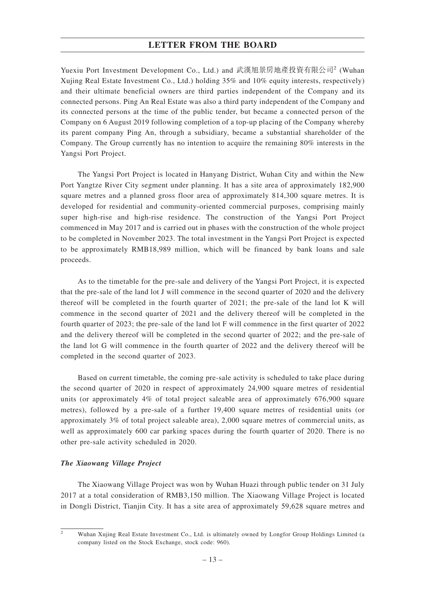Yuexiu Port Investment Development Co., Ltd.) and 武漢旭景房地產投資有限公司<sup>2</sup> (Wuhan Xujing Real Estate Investment Co., Ltd.) holding 35% and 10% equity interests, respectively) and their ultimate beneficial owners are third parties independent of the Company and its connected persons. Ping An Real Estate was also a third party independent of the Company and its connected persons at the time of the public tender, but became a connected person of the Company on 6 August 2019 following completion of a top-up placing of the Company whereby its parent company Ping An, through a subsidiary, became a substantial shareholder of the Company. The Group currently has no intention to acquire the remaining 80% interests in the Yangsi Port Project.

The Yangsi Port Project is located in Hanyang District, Wuhan City and within the New Port Yangtze River City segment under planning. It has a site area of approximately 182,900 square metres and a planned gross floor area of approximately 814,300 square metres. It is developed for residential and community-oriented commercial purposes, comprising mainly super high-rise and high-rise residence. The construction of the Yangsi Port Project commenced in May 2017 and is carried out in phases with the construction of the whole project to be completed in November 2023. The total investment in the Yangsi Port Project is expected to be approximately RMB18,989 million, which will be financed by bank loans and sale proceeds.

As to the timetable for the pre-sale and delivery of the Yangsi Port Project, it is expected that the pre-sale of the land lot J will commence in the second quarter of 2020 and the delivery thereof will be completed in the fourth quarter of 2021; the pre-sale of the land lot K will commence in the second quarter of 2021 and the delivery thereof will be completed in the fourth quarter of 2023; the pre-sale of the land lot F will commence in the first quarter of 2022 and the delivery thereof will be completed in the second quarter of 2022; and the pre-sale of the land lot G will commence in the fourth quarter of 2022 and the delivery thereof will be completed in the second quarter of 2023.

Based on current timetable, the coming pre-sale activity is scheduled to take place during the second quarter of 2020 in respect of approximately 24,900 square metres of residential units (or approximately 4% of total project saleable area of approximately 676,900 square metres), followed by a pre-sale of a further 19,400 square metres of residential units (or approximately 3% of total project saleable area), 2,000 square metres of commercial units, as well as approximately 600 car parking spaces during the fourth quarter of 2020. There is no other pre-sale activity scheduled in 2020.

#### *The Xiaowang Village Project*

The Xiaowang Village Project was won by Wuhan Huazi through public tender on 31 July 2017 at a total consideration of RMB3,150 million. The Xiaowang Village Project is located in Dongli District, Tianjin City. It has a site area of approximately 59,628 square metres and

 $\overline{2}$  Wuhan Xujing Real Estate Investment Co., Ltd. is ultimately owned by Longfor Group Holdings Limited (a company listed on the Stock Exchange, stock code: 960).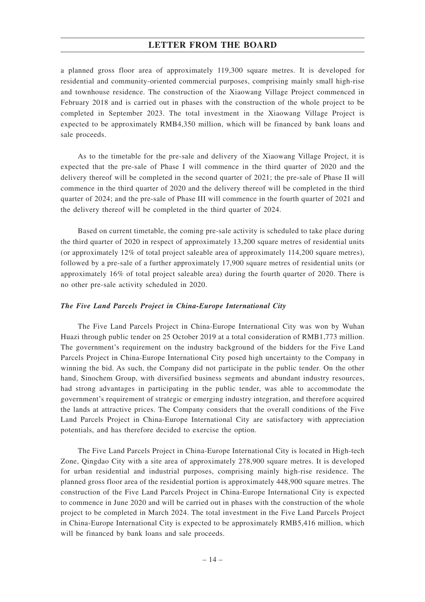a planned gross floor area of approximately 119,300 square metres. It is developed for residential and community-oriented commercial purposes, comprising mainly small high-rise and townhouse residence. The construction of the Xiaowang Village Project commenced in February 2018 and is carried out in phases with the construction of the whole project to be completed in September 2023. The total investment in the Xiaowang Village Project is expected to be approximately RMB4,350 million, which will be financed by bank loans and sale proceeds.

As to the timetable for the pre-sale and delivery of the Xiaowang Village Project, it is expected that the pre-sale of Phase I will commence in the third quarter of 2020 and the delivery thereof will be completed in the second quarter of 2021; the pre-sale of Phase II will commence in the third quarter of 2020 and the delivery thereof will be completed in the third quarter of 2024; and the pre-sale of Phase III will commence in the fourth quarter of 2021 and the delivery thereof will be completed in the third quarter of 2024.

Based on current timetable, the coming pre-sale activity is scheduled to take place during the third quarter of 2020 in respect of approximately 13,200 square metres of residential units (or approximately 12% of total project saleable area of approximately 114,200 square metres), followed by a pre-sale of a further approximately 17,900 square metres of residential units (or approximately 16% of total project saleable area) during the fourth quarter of 2020. There is no other pre-sale activity scheduled in 2020.

#### *The Five Land Parcels Project in China-Europe International City*

The Five Land Parcels Project in China-Europe International City was won by Wuhan Huazi through public tender on 25 October 2019 at a total consideration of RMB1,773 million. The government's requirement on the industry background of the bidders for the Five Land Parcels Project in China-Europe International City posed high uncertainty to the Company in winning the bid. As such, the Company did not participate in the public tender. On the other hand, Sinochem Group, with diversified business segments and abundant industry resources, had strong advantages in participating in the public tender, was able to accommodate the government's requirement of strategic or emerging industry integration, and therefore acquired the lands at attractive prices. The Company considers that the overall conditions of the Five Land Parcels Project in China-Europe International City are satisfactory with appreciation potentials, and has therefore decided to exercise the option.

The Five Land Parcels Project in China-Europe International City is located in High-tech Zone, Qingdao City with a site area of approximately 278,900 square metres. It is developed for urban residential and industrial purposes, comprising mainly high-rise residence. The planned gross floor area of the residential portion is approximately 448,900 square metres. The construction of the Five Land Parcels Project in China-Europe International City is expected to commence in June 2020 and will be carried out in phases with the construction of the whole project to be completed in March 2024. The total investment in the Five Land Parcels Project in China-Europe International City is expected to be approximately RMB5,416 million, which will be financed by bank loans and sale proceeds.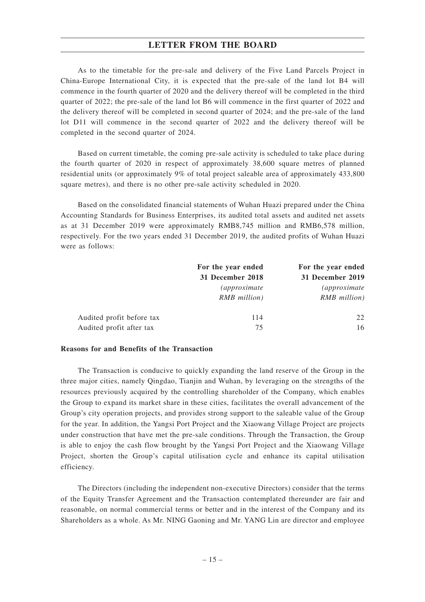As to the timetable for the pre-sale and delivery of the Five Land Parcels Project in China-Europe International City, it is expected that the pre-sale of the land lot B4 will commence in the fourth quarter of 2020 and the delivery thereof will be completed in the third quarter of 2022; the pre-sale of the land lot B6 will commence in the first quarter of 2022 and the delivery thereof will be completed in second quarter of 2024; and the pre-sale of the land lot D11 will commence in the second quarter of 2022 and the delivery thereof will be completed in the second quarter of 2024.

Based on current timetable, the coming pre-sale activity is scheduled to take place during the fourth quarter of 2020 in respect of approximately 38,600 square metres of planned residential units (or approximately 9% of total project saleable area of approximately 433,800 square metres), and there is no other pre-sale activity scheduled in 2020.

Based on the consolidated financial statements of Wuhan Huazi prepared under the China Accounting Standards for Business Enterprises, its audited total assets and audited net assets as at 31 December 2019 were approximately RMB8,745 million and RMB6,578 million, respectively. For the two years ended 31 December 2019, the audited profits of Wuhan Huazi were as follows:

|                           | For the year ended   | For the year ended   |
|---------------------------|----------------------|----------------------|
|                           | 31 December 2018     | 31 December 2019     |
|                           | <i>(approximate)</i> | <i>(approximate)</i> |
|                           | RMB million)         | <b>RMB</b> million)  |
| Audited profit before tax | 114                  | 22                   |
| Audited profit after tax  | 75                   | 16                   |

#### **Reasons for and Benefits of the Transaction**

The Transaction is conducive to quickly expanding the land reserve of the Group in the three major cities, namely Qingdao, Tianjin and Wuhan, by leveraging on the strengths of the resources previously acquired by the controlling shareholder of the Company, which enables the Group to expand its market share in these cities, facilitates the overall advancement of the Group's city operation projects, and provides strong support to the saleable value of the Group for the year. In addition, the Yangsi Port Project and the Xiaowang Village Project are projects under construction that have met the pre-sale conditions. Through the Transaction, the Group is able to enjoy the cash flow brought by the Yangsi Port Project and the Xiaowang Village Project, shorten the Group's capital utilisation cycle and enhance its capital utilisation efficiency.

The Directors (including the independent non-executive Directors) consider that the terms of the Equity Transfer Agreement and the Transaction contemplated thereunder are fair and reasonable, on normal commercial terms or better and in the interest of the Company and its Shareholders as a whole. As Mr. NING Gaoning and Mr. YANG Lin are director and employee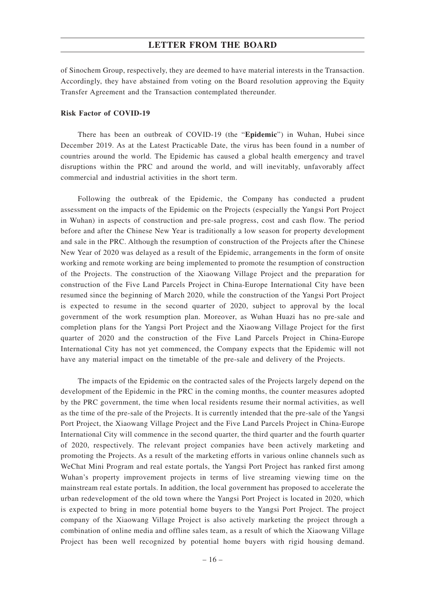of Sinochem Group, respectively, they are deemed to have material interests in the Transaction. Accordingly, they have abstained from voting on the Board resolution approving the Equity Transfer Agreement and the Transaction contemplated thereunder.

#### **Risk Factor of COVID-19**

There has been an outbreak of COVID-19 (the "**Epidemic**") in Wuhan, Hubei since December 2019. As at the Latest Practicable Date, the virus has been found in a number of countries around the world. The Epidemic has caused a global health emergency and travel disruptions within the PRC and around the world, and will inevitably, unfavorably affect commercial and industrial activities in the short term.

Following the outbreak of the Epidemic, the Company has conducted a prudent assessment on the impacts of the Epidemic on the Projects (especially the Yangsi Port Project in Wuhan) in aspects of construction and pre-sale progress, cost and cash flow. The period before and after the Chinese New Year is traditionally a low season for property development and sale in the PRC. Although the resumption of construction of the Projects after the Chinese New Year of 2020 was delayed as a result of the Epidemic, arrangements in the form of onsite working and remote working are being implemented to promote the resumption of construction of the Projects. The construction of the Xiaowang Village Project and the preparation for construction of the Five Land Parcels Project in China-Europe International City have been resumed since the beginning of March 2020, while the construction of the Yangsi Port Project is expected to resume in the second quarter of 2020, subject to approval by the local government of the work resumption plan. Moreover, as Wuhan Huazi has no pre-sale and completion plans for the Yangsi Port Project and the Xiaowang Village Project for the first quarter of 2020 and the construction of the Five Land Parcels Project in China-Europe International City has not yet commenced, the Company expects that the Epidemic will not have any material impact on the timetable of the pre-sale and delivery of the Projects.

The impacts of the Epidemic on the contracted sales of the Projects largely depend on the development of the Epidemic in the PRC in the coming months, the counter measures adopted by the PRC government, the time when local residents resume their normal activities, as well as the time of the pre-sale of the Projects. It is currently intended that the pre-sale of the Yangsi Port Project, the Xiaowang Village Project and the Five Land Parcels Project in China-Europe International City will commence in the second quarter, the third quarter and the fourth quarter of 2020, respectively. The relevant project companies have been actively marketing and promoting the Projects. As a result of the marketing efforts in various online channels such as WeChat Mini Program and real estate portals, the Yangsi Port Project has ranked first among Wuhan's property improvement projects in terms of live streaming viewing time on the mainstream real estate portals. In addition, the local government has proposed to accelerate the urban redevelopment of the old town where the Yangsi Port Project is located in 2020, which is expected to bring in more potential home buyers to the Yangsi Port Project. The project company of the Xiaowang Village Project is also actively marketing the project through a combination of online media and offline sales team, as a result of which the Xiaowang Village Project has been well recognized by potential home buyers with rigid housing demand.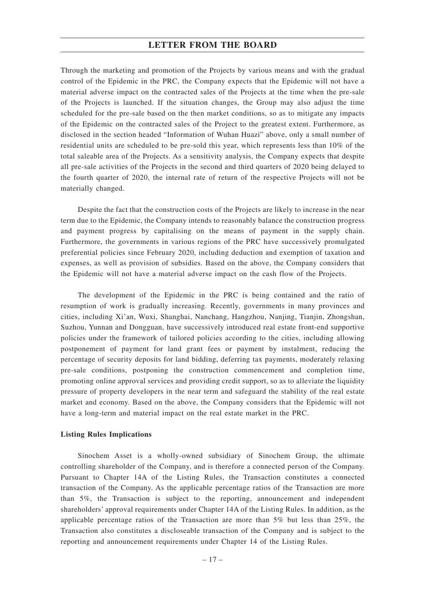Through the marketing and promotion of the Projects by various means and with the gradual control of the Epidemic in the PRC, the Company expects that the Epidemic will not have a material adverse impact on the contracted sales of the Projects at the time when the pre-sale of the Projects is launched. If the situation changes, the Group may also adjust the time scheduled for the pre-sale based on the then market conditions, so as to mitigate any impacts of the Epidemic on the contracted sales of the Project to the greatest extent. Furthermore, as disclosed in the section headed "Information of Wuhan Huazi" above, only a small number of residential units are scheduled to be pre-sold this year, which represents less than 10% of the total saleable area of the Projects. As a sensitivity analysis, the Company expects that despite all pre-sale activities of the Projects in the second and third quarters of 2020 being delayed to the fourth quarter of 2020, the internal rate of return of the respective Projects will not be materially changed.

Despite the fact that the construction costs of the Projects are likely to increase in the near term due to the Epidemic, the Company intends to reasonably balance the construction progress and payment progress by capitalising on the means of payment in the supply chain. Furthermore, the governments in various regions of the PRC have successively promulgated preferential policies since February 2020, including deduction and exemption of taxation and expenses, as well as provision of subsidies. Based on the above, the Company considers that the Epidemic will not have a material adverse impact on the cash flow of the Projects.

The development of the Epidemic in the PRC is being contained and the ratio of resumption of work is gradually increasing. Recently, governments in many provinces and cities, including Xi'an, Wuxi, Shanghai, Nanchang, Hangzhou, Nanjing, Tianjin, Zhongshan, Suzhou, Yunnan and Dongguan, have successively introduced real estate front-end supportive policies under the framework of tailored policies according to the cities, including allowing postponement of payment for land grant fees or payment by instalment, reducing the percentage of security deposits for land bidding, deferring tax payments, moderately relaxing pre-sale conditions, postponing the construction commencement and completion time, promoting online approval services and providing credit support, so as to alleviate the liquidity pressure of property developers in the near term and safeguard the stability of the real estate market and economy. Based on the above, the Company considers that the Epidemic will not have a long-term and material impact on the real estate market in the PRC.

#### **Listing Rules Implications**

Sinochem Asset is a wholly-owned subsidiary of Sinochem Group, the ultimate controlling shareholder of the Company, and is therefore a connected person of the Company. Pursuant to Chapter 14A of the Listing Rules, the Transaction constitutes a connected transaction of the Company. As the applicable percentage ratios of the Transaction are more than 5%, the Transaction is subject to the reporting, announcement and independent shareholders' approval requirements under Chapter 14A of the Listing Rules. In addition, as the applicable percentage ratios of the Transaction are more than 5% but less than 25%, the Transaction also constitutes a discloseable transaction of the Company and is subject to the reporting and announcement requirements under Chapter 14 of the Listing Rules.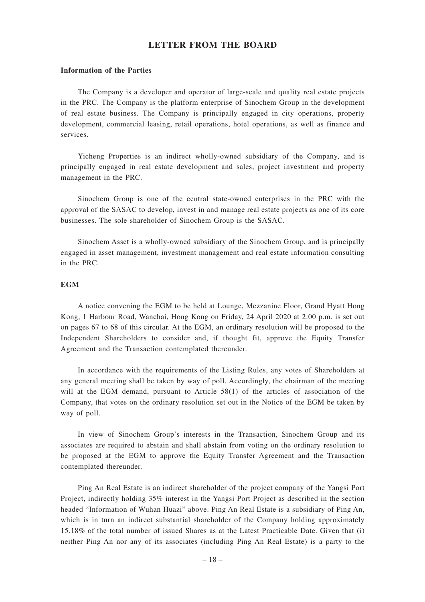#### **Information of the Parties**

The Company is a developer and operator of large-scale and quality real estate projects in the PRC. The Company is the platform enterprise of Sinochem Group in the development of real estate business. The Company is principally engaged in city operations, property development, commercial leasing, retail operations, hotel operations, as well as finance and services.

Yicheng Properties is an indirect wholly-owned subsidiary of the Company, and is principally engaged in real estate development and sales, project investment and property management in the PRC.

Sinochem Group is one of the central state-owned enterprises in the PRC with the approval of the SASAC to develop, invest in and manage real estate projects as one of its core businesses. The sole shareholder of Sinochem Group is the SASAC.

Sinochem Asset is a wholly-owned subsidiary of the Sinochem Group, and is principally engaged in asset management, investment management and real estate information consulting in the PRC.

#### **EGM**

A notice convening the EGM to be held at Lounge, Mezzanine Floor, Grand Hyatt Hong Kong, 1 Harbour Road, Wanchai, Hong Kong on Friday, 24 April 2020 at 2:00 p.m. is set out on pages 67 to 68 of this circular. At the EGM, an ordinary resolution will be proposed to the Independent Shareholders to consider and, if thought fit, approve the Equity Transfer Agreement and the Transaction contemplated thereunder.

In accordance with the requirements of the Listing Rules, any votes of Shareholders at any general meeting shall be taken by way of poll. Accordingly, the chairman of the meeting will at the EGM demand, pursuant to Article 58(1) of the articles of association of the Company, that votes on the ordinary resolution set out in the Notice of the EGM be taken by way of poll.

In view of Sinochem Group's interests in the Transaction, Sinochem Group and its associates are required to abstain and shall abstain from voting on the ordinary resolution to be proposed at the EGM to approve the Equity Transfer Agreement and the Transaction contemplated thereunder.

Ping An Real Estate is an indirect shareholder of the project company of the Yangsi Port Project, indirectly holding 35% interest in the Yangsi Port Project as described in the section headed "Information of Wuhan Huazi" above. Ping An Real Estate is a subsidiary of Ping An, which is in turn an indirect substantial shareholder of the Company holding approximately 15.18% of the total number of issued Shares as at the Latest Practicable Date. Given that (i) neither Ping An nor any of its associates (including Ping An Real Estate) is a party to the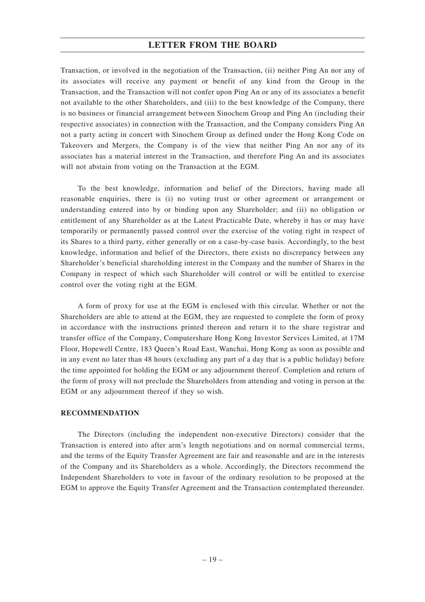Transaction, or involved in the negotiation of the Transaction, (ii) neither Ping An nor any of its associates will receive any payment or benefit of any kind from the Group in the Transaction, and the Transaction will not confer upon Ping An or any of its associates a benefit not available to the other Shareholders, and (iii) to the best knowledge of the Company, there is no business or financial arrangement between Sinochem Group and Ping An (including their respective associates) in connection with the Transaction, and the Company considers Ping An not a party acting in concert with Sinochem Group as defined under the Hong Kong Code on Takeovers and Mergers, the Company is of the view that neither Ping An nor any of its associates has a material interest in the Transaction, and therefore Ping An and its associates will not abstain from voting on the Transaction at the EGM.

To the best knowledge, information and belief of the Directors, having made all reasonable enquiries, there is (i) no voting trust or other agreement or arrangement or understanding entered into by or binding upon any Shareholder; and (ii) no obligation or entitlement of any Shareholder as at the Latest Practicable Date, whereby it has or may have temporarily or permanently passed control over the exercise of the voting right in respect of its Shares to a third party, either generally or on a case-by-case basis. Accordingly, to the best knowledge, information and belief of the Directors, there exists no discrepancy between any Shareholder's beneficial shareholding interest in the Company and the number of Shares in the Company in respect of which such Shareholder will control or will be entitled to exercise control over the voting right at the EGM.

A form of proxy for use at the EGM is enclosed with this circular. Whether or not the Shareholders are able to attend at the EGM, they are requested to complete the form of proxy in accordance with the instructions printed thereon and return it to the share registrar and transfer office of the Company, Computershare Hong Kong Investor Services Limited, at 17M Floor, Hopewell Centre, 183 Queen's Road East, Wanchai, Hong Kong as soon as possible and in any event no later than 48 hours (excluding any part of a day that is a public holiday) before the time appointed for holding the EGM or any adjournment thereof. Completion and return of the form of proxy will not preclude the Shareholders from attending and voting in person at the EGM or any adjournment thereof if they so wish.

#### **RECOMMENDATION**

The Directors (including the independent non-executive Directors) consider that the Transaction is entered into after arm's length negotiations and on normal commercial terms, and the terms of the Equity Transfer Agreement are fair and reasonable and are in the interests of the Company and its Shareholders as a whole. Accordingly, the Directors recommend the Independent Shareholders to vote in favour of the ordinary resolution to be proposed at the EGM to approve the Equity Transfer Agreement and the Transaction contemplated thereunder.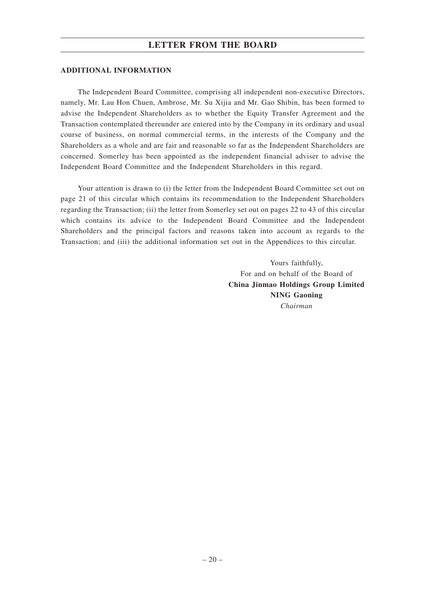#### **ADDITIONAL INFORMATION**

The Independent Board Committee, comprising all independent non-executive Directors, namely, Mr. Lau Hon Chuen, Ambrose, Mr. Su Xijia and Mr. Gao Shibin, has been formed to advise the Independent Shareholders as to whether the Equity Transfer Agreement and the Transaction contemplated thereunder are entered into by the Company in its ordinary and usual course of business, on normal commercial terms, in the interests of the Company and the Shareholders as a whole and are fair and reasonable so far as the Independent Shareholders are concerned. Somerley has been appointed as the independent financial adviser to advise the Independent Board Committee and the Independent Shareholders in this regard.

Your attention is drawn to (i) the letter from the Independent Board Committee set out on page 21 of this circular which contains its recommendation to the Independent Shareholders regarding the Transaction; (ii) the letter from Somerley set out on pages 22 to 43 of this circular which contains its advice to the Independent Board Committee and the Independent Shareholders and the principal factors and reasons taken into account as regards to the Transaction; and (iii) the additional information set out in the Appendices to this circular.

> Yours faithfully, For and on behalf of the Board of **China Jinmao Holdings Group Limited NING Gaoning** *Chairman*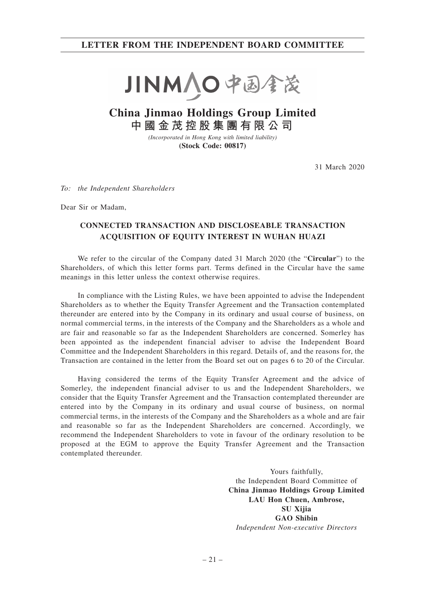## **LETTER FROM THE INDEPENDENT BOARD COMMITTEE**



# **China Jinmao Holdings Group Limited 中國金茂控股集團有限公司**

*(Incorporated in Hong Kong with limited liability)* **(Stock Code: 00817)**

31 March 2020

*To: the Independent Shareholders*

Dear Sir or Madam,

## **CONNECTED TRANSACTION AND DISCLOSEABLE TRANSACTION ACQUISITION OF EQUITY INTEREST IN WUHAN HUAZI**

We refer to the circular of the Company dated 31 March 2020 (the "**Circular**") to the Shareholders, of which this letter forms part. Terms defined in the Circular have the same meanings in this letter unless the context otherwise requires.

In compliance with the Listing Rules, we have been appointed to advise the Independent Shareholders as to whether the Equity Transfer Agreement and the Transaction contemplated thereunder are entered into by the Company in its ordinary and usual course of business, on normal commercial terms, in the interests of the Company and the Shareholders as a whole and are fair and reasonable so far as the Independent Shareholders are concerned. Somerley has been appointed as the independent financial adviser to advise the Independent Board Committee and the Independent Shareholders in this regard. Details of, and the reasons for, the Transaction are contained in the letter from the Board set out on pages 6 to 20 of the Circular.

Having considered the terms of the Equity Transfer Agreement and the advice of Somerley, the independent financial adviser to us and the Independent Shareholders, we consider that the Equity Transfer Agreement and the Transaction contemplated thereunder are entered into by the Company in its ordinary and usual course of business, on normal commercial terms, in the interests of the Company and the Shareholders as a whole and are fair and reasonable so far as the Independent Shareholders are concerned. Accordingly, we recommend the Independent Shareholders to vote in favour of the ordinary resolution to be proposed at the EGM to approve the Equity Transfer Agreement and the Transaction contemplated thereunder.

> Yours faithfully, the Independent Board Committee of **China Jinmao Holdings Group Limited LAU Hon Chuen, Ambrose, SU Xijia GAO Shibin** *Independent Non-executive Directors*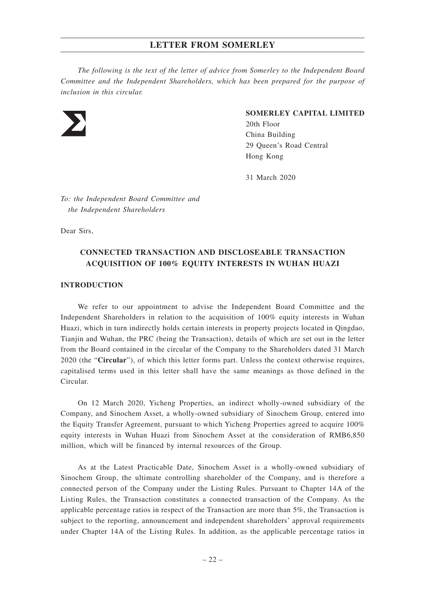*The following is the text of the letter of advice from Somerley to the Independent Board Committee and the Independent Shareholders, which has been prepared for the purpose of inclusion in this circular.*



### **SOMERLEY CAPITAL LIMITED**

20th Floor China Building 29 Queen's Road Central Hong Kong

31 March 2020

*To: the Independent Board Committee and the Independent Shareholders*

Dear Sirs,

## **CONNECTED TRANSACTION AND DISCLOSEABLE TRANSACTION ACQUISITION OF 100% EQUITY INTERESTS IN WUHAN HUAZI**

## **INTRODUCTION**

We refer to our appointment to advise the Independent Board Committee and the Independent Shareholders in relation to the acquisition of 100% equity interests in Wuhan Huazi, which in turn indirectly holds certain interests in property projects located in Qingdao, Tianjin and Wuhan, the PRC (being the Transaction), details of which are set out in the letter from the Board contained in the circular of the Company to the Shareholders dated 31 March 2020 (the "**Circular**"), of which this letter forms part. Unless the context otherwise requires, capitalised terms used in this letter shall have the same meanings as those defined in the Circular.

On 12 March 2020, Yicheng Properties, an indirect wholly-owned subsidiary of the Company, and Sinochem Asset, a wholly-owned subsidiary of Sinochem Group, entered into the Equity Transfer Agreement, pursuant to which Yicheng Properties agreed to acquire 100% equity interests in Wuhan Huazi from Sinochem Asset at the consideration of RMB6,850 million, which will be financed by internal resources of the Group.

As at the Latest Practicable Date, Sinochem Asset is a wholly-owned subsidiary of Sinochem Group, the ultimate controlling shareholder of the Company, and is therefore a connected person of the Company under the Listing Rules. Pursuant to Chapter 14A of the Listing Rules, the Transaction constitutes a connected transaction of the Company. As the applicable percentage ratios in respect of the Transaction are more than 5%, the Transaction is subject to the reporting, announcement and independent shareholders' approval requirements under Chapter 14A of the Listing Rules. In addition, as the applicable percentage ratios in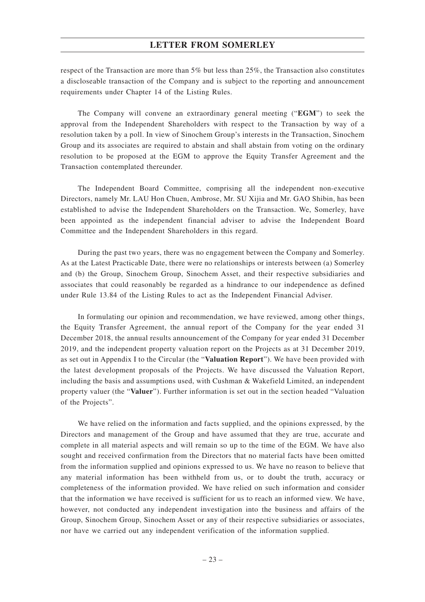respect of the Transaction are more than 5% but less than 25%, the Transaction also constitutes a discloseable transaction of the Company and is subject to the reporting and announcement requirements under Chapter 14 of the Listing Rules.

The Company will convene an extraordinary general meeting ("**EGM**") to seek the approval from the Independent Shareholders with respect to the Transaction by way of a resolution taken by a poll. In view of Sinochem Group's interests in the Transaction, Sinochem Group and its associates are required to abstain and shall abstain from voting on the ordinary resolution to be proposed at the EGM to approve the Equity Transfer Agreement and the Transaction contemplated thereunder.

The Independent Board Committee, comprising all the independent non-executive Directors, namely Mr. LAU Hon Chuen, Ambrose, Mr. SU Xijia and Mr. GAO Shibin, has been established to advise the Independent Shareholders on the Transaction. We, Somerley, have been appointed as the independent financial adviser to advise the Independent Board Committee and the Independent Shareholders in this regard.

During the past two years, there was no engagement between the Company and Somerley. As at the Latest Practicable Date, there were no relationships or interests between (a) Somerley and (b) the Group, Sinochem Group, Sinochem Asset, and their respective subsidiaries and associates that could reasonably be regarded as a hindrance to our independence as defined under Rule 13.84 of the Listing Rules to act as the Independent Financial Adviser.

In formulating our opinion and recommendation, we have reviewed, among other things, the Equity Transfer Agreement, the annual report of the Company for the year ended 31 December 2018, the annual results announcement of the Company for year ended 31 December 2019, and the independent property valuation report on the Projects as at 31 December 2019, as set out in Appendix I to the Circular (the "**Valuation Report**"). We have been provided with the latest development proposals of the Projects. We have discussed the Valuation Report, including the basis and assumptions used, with Cushman & Wakefield Limited, an independent property valuer (the "**Valuer**"). Further information is set out in the section headed "Valuation of the Projects".

We have relied on the information and facts supplied, and the opinions expressed, by the Directors and management of the Group and have assumed that they are true, accurate and complete in all material aspects and will remain so up to the time of the EGM. We have also sought and received confirmation from the Directors that no material facts have been omitted from the information supplied and opinions expressed to us. We have no reason to believe that any material information has been withheld from us, or to doubt the truth, accuracy or completeness of the information provided. We have relied on such information and consider that the information we have received is sufficient for us to reach an informed view. We have, however, not conducted any independent investigation into the business and affairs of the Group, Sinochem Group, Sinochem Asset or any of their respective subsidiaries or associates, nor have we carried out any independent verification of the information supplied.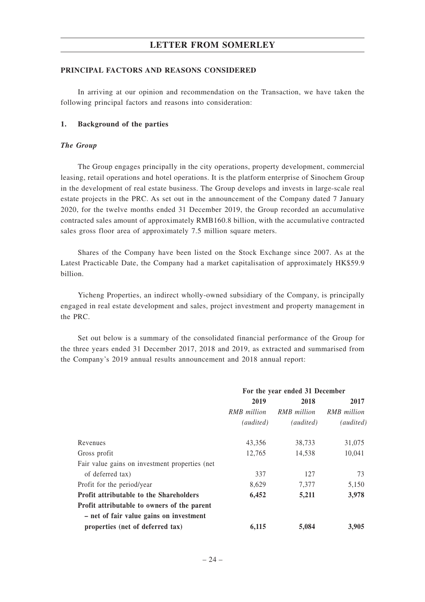#### **PRINCIPAL FACTORS AND REASONS CONSIDERED**

In arriving at our opinion and recommendation on the Transaction, we have taken the following principal factors and reasons into consideration:

#### **1. Background of the parties**

#### *The Group*

The Group engages principally in the city operations, property development, commercial leasing, retail operations and hotel operations. It is the platform enterprise of Sinochem Group in the development of real estate business. The Group develops and invests in large-scale real estate projects in the PRC. As set out in the announcement of the Company dated 7 January 2020, for the twelve months ended 31 December 2019, the Group recorded an accumulative contracted sales amount of approximately RMB160.8 billion, with the accumulative contracted sales gross floor area of approximately 7.5 million square meters.

Shares of the Company have been listed on the Stock Exchange since 2007. As at the Latest Practicable Date, the Company had a market capitalisation of approximately HK\$59.9 billion.

Yicheng Properties, an indirect wholly-owned subsidiary of the Company, is principally engaged in real estate development and sales, project investment and property management in the PRC.

Set out below is a summary of the consolidated financial performance of the Group for the three years ended 31 December 2017, 2018 and 2019, as extracted and summarised from the Company's 2019 annual results announcement and 2018 annual report:

|                                                 | For the year ended 31 December |             |             |
|-------------------------------------------------|--------------------------------|-------------|-------------|
|                                                 | 2019                           | 2018        | 2017        |
|                                                 | RMB million                    | RMB million | RMB million |
|                                                 | (audited)                      | (audited)   | (audited)   |
| Revenues                                        | 43,356                         | 38,733      | 31,075      |
| Gross profit                                    | 12,765                         | 14,538      | 10,041      |
| Fair value gains on investment properties (net) |                                |             |             |
| of deferred tax)                                | 337                            | 127         | 73          |
| Profit for the period/year                      | 8,629                          | 7,377       | 5,150       |
| <b>Profit attributable to the Shareholders</b>  | 6,452                          | 5,211       | 3,978       |
| Profit attributable to owners of the parent     |                                |             |             |
| - net of fair value gains on investment         |                                |             |             |
| properties (net of deferred tax)                | 6,115                          | 5,084       | 3.905       |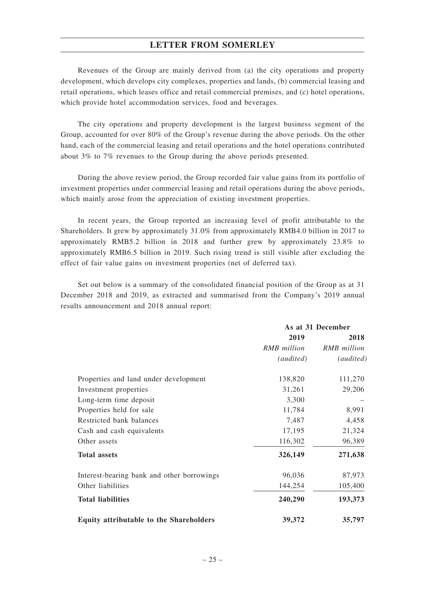Revenues of the Group are mainly derived from (a) the city operations and property development, which develops city complexes, properties and lands, (b) commercial leasing and retail operations, which leases office and retail commercial premises, and (c) hotel operations, which provide hotel accommodation services, food and beverages.

The city operations and property development is the largest business segment of the Group, accounted for over 80% of the Group's revenue during the above periods. On the other hand, each of the commercial leasing and retail operations and the hotel operations contributed about 3% to 7% revenues to the Group during the above periods presented.

During the above review period, the Group recorded fair value gains from its portfolio of investment properties under commercial leasing and retail operations during the above periods, which mainly arose from the appreciation of existing investment properties.

In recent years, the Group reported an increasing level of profit attributable to the Shareholders. It grew by approximately 31.0% from approximately RMB4.0 billion in 2017 to approximately RMB5.2 billion in 2018 and further grew by approximately 23.8% to approximately RMB6.5 billion in 2019. Such rising trend is still visible after excluding the effect of fair value gains on investment properties (net of deferred tax).

Set out below is a summary of the consolidated financial position of the Group as at 31 December 2018 and 2019, as extracted and summarised from the Company's 2019 annual results announcement and 2018 annual report:

|                                                | As at 31 December |             |
|------------------------------------------------|-------------------|-------------|
|                                                | 2019              | 2018        |
|                                                | RMB million       | RMB million |
|                                                | (audited)         | (audited)   |
| Properties and land under development          | 138,820           | 111,270     |
| Investment properties                          | 31,261            | 29,206      |
| Long-term time deposit                         | 3,300             |             |
| Properties held for sale                       | 11,784            | 8,991       |
| Restricted bank balances                       | 7,487             | 4,458       |
| Cash and cash equivalents                      | 17,195            | 21,324      |
| Other assets                                   | 116,302           | 96,389      |
| <b>Total assets</b>                            | 326,149           | 271,638     |
| Interest-bearing bank and other borrowings     | 96,036            | 87,973      |
| Other liabilities                              | 144,254           | 105,400     |
| <b>Total liabilities</b>                       | 240,290           | 193,373     |
| <b>Equity attributable to the Shareholders</b> | 39,372            | 35,797      |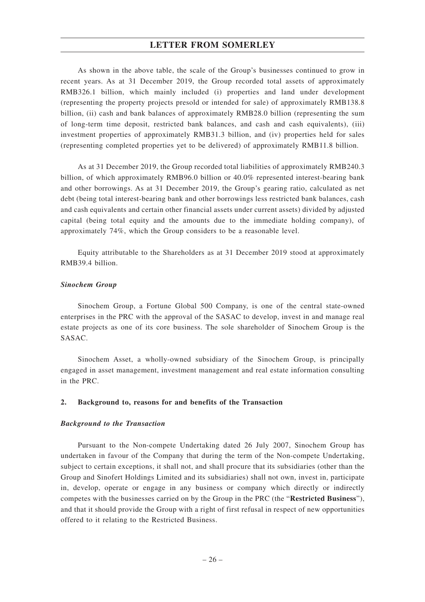As shown in the above table, the scale of the Group's businesses continued to grow in recent years. As at 31 December 2019, the Group recorded total assets of approximately RMB326.1 billion, which mainly included (i) properties and land under development (representing the property projects presold or intended for sale) of approximately RMB138.8 billion, (ii) cash and bank balances of approximately RMB28.0 billion (representing the sum of long-term time deposit, restricted bank balances, and cash and cash equivalents), (iii) investment properties of approximately RMB31.3 billion, and (iv) properties held for sales (representing completed properties yet to be delivered) of approximately RMB11.8 billion.

As at 31 December 2019, the Group recorded total liabilities of approximately RMB240.3 billion, of which approximately RMB96.0 billion or 40.0% represented interest-bearing bank and other borrowings. As at 31 December 2019, the Group's gearing ratio, calculated as net debt (being total interest-bearing bank and other borrowings less restricted bank balances, cash and cash equivalents and certain other financial assets under current assets) divided by adjusted capital (being total equity and the amounts due to the immediate holding company), of approximately 74%, which the Group considers to be a reasonable level.

Equity attributable to the Shareholders as at 31 December 2019 stood at approximately RMB39.4 billion.

#### *Sinochem Group*

Sinochem Group, a Fortune Global 500 Company, is one of the central state-owned enterprises in the PRC with the approval of the SASAC to develop, invest in and manage real estate projects as one of its core business. The sole shareholder of Sinochem Group is the SASAC.

Sinochem Asset, a wholly-owned subsidiary of the Sinochem Group, is principally engaged in asset management, investment management and real estate information consulting in the PRC.

#### **2. Background to, reasons for and benefits of the Transaction**

#### *Background to the Transaction*

Pursuant to the Non-compete Undertaking dated 26 July 2007, Sinochem Group has undertaken in favour of the Company that during the term of the Non-compete Undertaking, subject to certain exceptions, it shall not, and shall procure that its subsidiaries (other than the Group and Sinofert Holdings Limited and its subsidiaries) shall not own, invest in, participate in, develop, operate or engage in any business or company which directly or indirectly competes with the businesses carried on by the Group in the PRC (the "**Restricted Business**"), and that it should provide the Group with a right of first refusal in respect of new opportunities offered to it relating to the Restricted Business.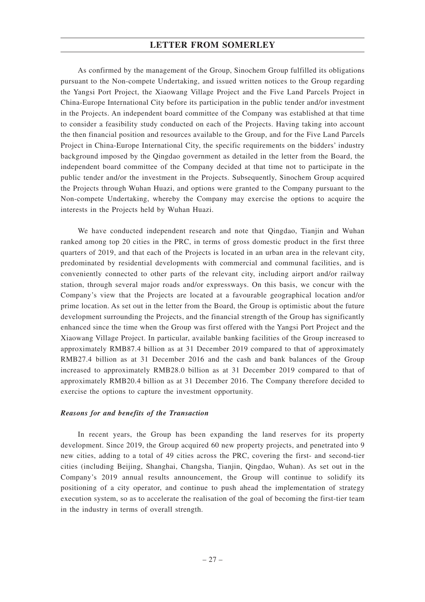As confirmed by the management of the Group, Sinochem Group fulfilled its obligations pursuant to the Non-compete Undertaking, and issued written notices to the Group regarding the Yangsi Port Project, the Xiaowang Village Project and the Five Land Parcels Project in China-Europe International City before its participation in the public tender and/or investment in the Projects. An independent board committee of the Company was established at that time to consider a feasibility study conducted on each of the Projects. Having taking into account the then financial position and resources available to the Group, and for the Five Land Parcels Project in China-Europe International City, the specific requirements on the bidders' industry background imposed by the Qingdao government as detailed in the letter from the Board, the independent board committee of the Company decided at that time not to participate in the public tender and/or the investment in the Projects. Subsequently, Sinochem Group acquired the Projects through Wuhan Huazi, and options were granted to the Company pursuant to the Non-compete Undertaking, whereby the Company may exercise the options to acquire the interests in the Projects held by Wuhan Huazi.

We have conducted independent research and note that Qingdao, Tianjin and Wuhan ranked among top 20 cities in the PRC, in terms of gross domestic product in the first three quarters of 2019, and that each of the Projects is located in an urban area in the relevant city, predominated by residential developments with commercial and communal facilities, and is conveniently connected to other parts of the relevant city, including airport and/or railway station, through several major roads and/or expressways. On this basis, we concur with the Company's view that the Projects are located at a favourable geographical location and/or prime location. As set out in the letter from the Board, the Group is optimistic about the future development surrounding the Projects, and the financial strength of the Group has significantly enhanced since the time when the Group was first offered with the Yangsi Port Project and the Xiaowang Village Project. In particular, available banking facilities of the Group increased to approximately RMB87.4 billion as at 31 December 2019 compared to that of approximately RMB27.4 billion as at 31 December 2016 and the cash and bank balances of the Group increased to approximately RMB28.0 billion as at 31 December 2019 compared to that of approximately RMB20.4 billion as at 31 December 2016. The Company therefore decided to exercise the options to capture the investment opportunity.

### *Reasons for and benefits of the Transaction*

In recent years, the Group has been expanding the land reserves for its property development. Since 2019, the Group acquired 60 new property projects, and penetrated into 9 new cities, adding to a total of 49 cities across the PRC, covering the first- and second-tier cities (including Beijing, Shanghai, Changsha, Tianjin, Qingdao, Wuhan). As set out in the Company's 2019 annual results announcement, the Group will continue to solidify its positioning of a city operator, and continue to push ahead the implementation of strategy execution system, so as to accelerate the realisation of the goal of becoming the first-tier team in the industry in terms of overall strength.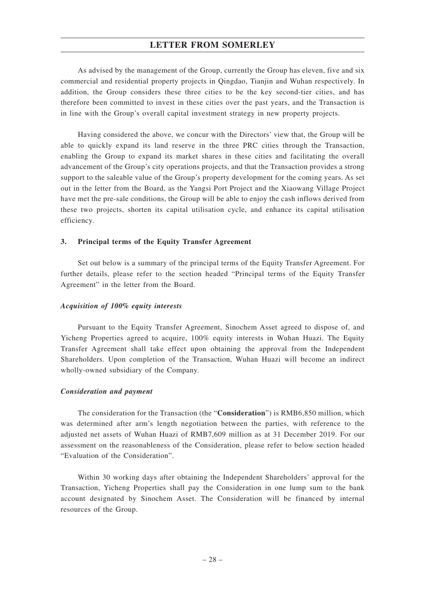As advised by the management of the Group, currently the Group has eleven, five and six commercial and residential property projects in Qingdao, Tianjin and Wuhan respectively. In addition, the Group considers these three cities to be the key second-tier cities, and has therefore been committed to invest in these cities over the past years, and the Transaction is in line with the Group's overall capital investment strategy in new property projects.

Having considered the above, we concur with the Directors' view that, the Group will be able to quickly expand its land reserve in the three PRC cities through the Transaction, enabling the Group to expand its market shares in these cities and facilitating the overall advancement of the Group's city operations projects, and that the Transaction provides a strong support to the saleable value of the Group's property development for the coming years. As set out in the letter from the Board, as the Yangsi Port Project and the Xiaowang Village Project have met the pre-sale conditions, the Group will be able to enjoy the cash inflows derived from these two projects, shorten its capital utilisation cycle, and enhance its capital utilisation efficiency.

#### **3. Principal terms of the Equity Transfer Agreement**

Set out below is a summary of the principal terms of the Equity Transfer Agreement. For further details, please refer to the section headed "Principal terms of the Equity Transfer Agreement" in the letter from the Board.

#### *Acquisition of 100% equity interests*

Pursuant to the Equity Transfer Agreement, Sinochem Asset agreed to dispose of, and Yicheng Properties agreed to acquire, 100% equity interests in Wuhan Huazi. The Equity Transfer Agreement shall take effect upon obtaining the approval from the Independent Shareholders. Upon completion of the Transaction, Wuhan Huazi will become an indirect wholly-owned subsidiary of the Company.

#### *Consideration and payment*

The consideration for the Transaction (the "**Consideration**") is RMB6,850 million, which was determined after arm's length negotiation between the parties, with reference to the adjusted net assets of Wuhan Huazi of RMB7,609 million as at 31 December 2019. For our assessment on the reasonableness of the Consideration, please refer to below section headed "Evaluation of the Consideration".

Within 30 working days after obtaining the Independent Shareholders' approval for the Transaction, Yicheng Properties shall pay the Consideration in one lump sum to the bank account designated by Sinochem Asset. The Consideration will be financed by internal resources of the Group.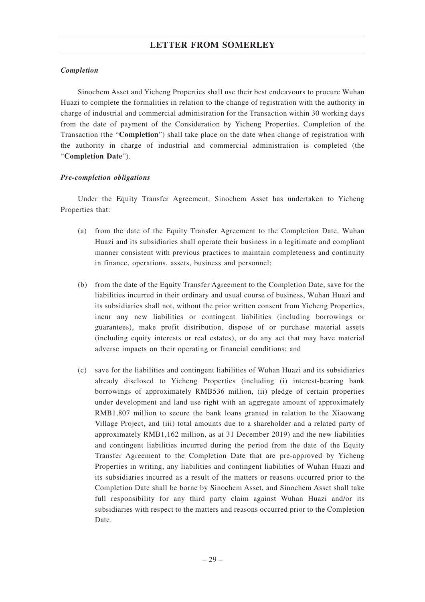## *Completion*

Sinochem Asset and Yicheng Properties shall use their best endeavours to procure Wuhan Huazi to complete the formalities in relation to the change of registration with the authority in charge of industrial and commercial administration for the Transaction within 30 working days from the date of payment of the Consideration by Yicheng Properties. Completion of the Transaction (the "**Completion**") shall take place on the date when change of registration with the authority in charge of industrial and commercial administration is completed (the "**Completion Date**").

### *Pre-completion obligations*

Under the Equity Transfer Agreement, Sinochem Asset has undertaken to Yicheng Properties that:

- (a) from the date of the Equity Transfer Agreement to the Completion Date, Wuhan Huazi and its subsidiaries shall operate their business in a legitimate and compliant manner consistent with previous practices to maintain completeness and continuity in finance, operations, assets, business and personnel;
- (b) from the date of the Equity Transfer Agreement to the Completion Date, save for the liabilities incurred in their ordinary and usual course of business, Wuhan Huazi and its subsidiaries shall not, without the prior written consent from Yicheng Properties, incur any new liabilities or contingent liabilities (including borrowings or guarantees), make profit distribution, dispose of or purchase material assets (including equity interests or real estates), or do any act that may have material adverse impacts on their operating or financial conditions; and
- (c) save for the liabilities and contingent liabilities of Wuhan Huazi and its subsidiaries already disclosed to Yicheng Properties (including (i) interest-bearing bank borrowings of approximately RMB536 million, (ii) pledge of certain properties under development and land use right with an aggregate amount of approximately RMB1,807 million to secure the bank loans granted in relation to the Xiaowang Village Project, and (iii) total amounts due to a shareholder and a related party of approximately RMB1,162 million, as at 31 December 2019) and the new liabilities and contingent liabilities incurred during the period from the date of the Equity Transfer Agreement to the Completion Date that are pre-approved by Yicheng Properties in writing, any liabilities and contingent liabilities of Wuhan Huazi and its subsidiaries incurred as a result of the matters or reasons occurred prior to the Completion Date shall be borne by Sinochem Asset, and Sinochem Asset shall take full responsibility for any third party claim against Wuhan Huazi and/or its subsidiaries with respect to the matters and reasons occurred prior to the Completion Date.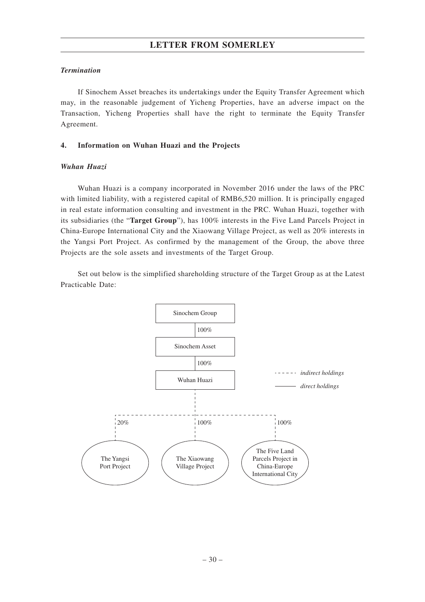### *Termination*

If Sinochem Asset breaches its undertakings under the Equity Transfer Agreement which may, in the reasonable judgement of Yicheng Properties, have an adverse impact on the Transaction, Yicheng Properties shall have the right to terminate the Equity Transfer Agreement.

### **4. Information on Wuhan Huazi and the Projects**

### *Wuhan Huazi*

Wuhan Huazi is a company incorporated in November 2016 under the laws of the PRC with limited liability, with a registered capital of RMB6,520 million. It is principally engaged in real estate information consulting and investment in the PRC. Wuhan Huazi, together with its subsidiaries (the "**Target Group**"), has 100% interests in the Five Land Parcels Project in China-Europe International City and the Xiaowang Village Project, as well as 20% interests in the Yangsi Port Project. As confirmed by the management of the Group, the above three Projects are the sole assets and investments of the Target Group.

Set out below is the simplified shareholding structure of the Target Group as at the Latest Practicable Date:

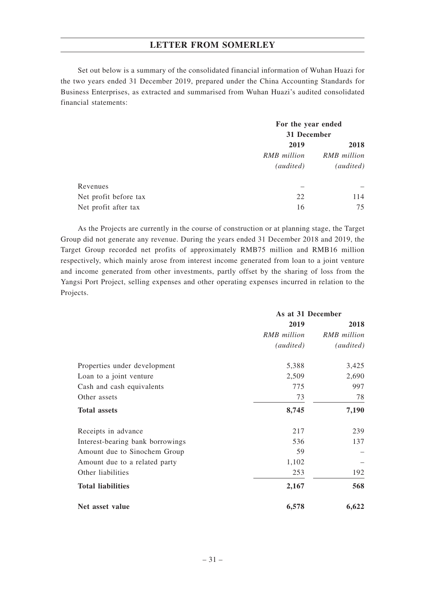Set out below is a summary of the consolidated financial information of Wuhan Huazi for the two years ended 31 December 2019, prepared under the China Accounting Standards for Business Enterprises, as extracted and summarised from Wuhan Huazi's audited consolidated financial statements:

|                       |             | For the year ended<br>31 December |  |
|-----------------------|-------------|-----------------------------------|--|
|                       |             |                                   |  |
|                       | 2019        | 2018                              |  |
|                       | RMB million | RMB million                       |  |
|                       | (audited)   | <i>(audited)</i>                  |  |
| Revenues              |             |                                   |  |
| Net profit before tax | 22          | 114                               |  |
| Net profit after tax  | 16          | 75                                |  |

As the Projects are currently in the course of construction or at planning stage, the Target Group did not generate any revenue. During the years ended 31 December 2018 and 2019, the Target Group recorded net profits of approximately RMB75 million and RMB16 million respectively, which mainly arose from interest income generated from loan to a joint venture and income generated from other investments, partly offset by the sharing of loss from the Yangsi Port Project, selling expenses and other operating expenses incurred in relation to the Projects.

|                                  | As at 31 December |             |
|----------------------------------|-------------------|-------------|
|                                  | 2019              | 2018        |
|                                  | RMB million       | RMB million |
|                                  | (audited)         | (audited)   |
| Properties under development     | 5,388             | 3,425       |
| Loan to a joint venture          | 2,509             | 2,690       |
| Cash and cash equivalents        | 775               | 997         |
| Other assets                     | 73                | 78          |
| <b>Total assets</b>              | 8,745             | 7,190       |
| Receipts in advance              | 217               | 239         |
| Interest-bearing bank borrowings | 536               | 137         |
| Amount due to Sinochem Group     | 59                |             |
| Amount due to a related party    | 1,102             |             |
| Other liabilities                | 253               | 192         |
| <b>Total liabilities</b>         | 2,167             | 568         |
| Net asset value                  | 6,578             | 6,622       |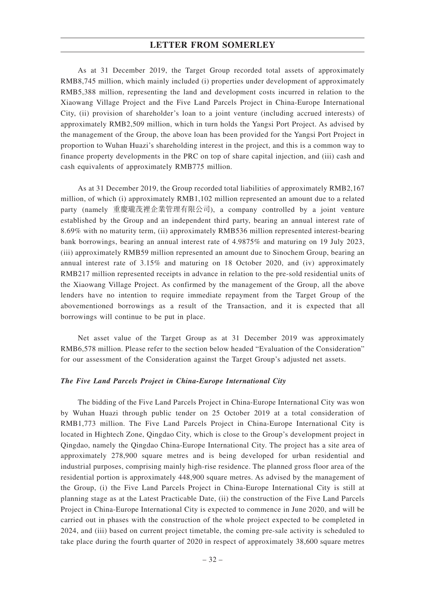As at 31 December 2019, the Target Group recorded total assets of approximately RMB8,745 million, which mainly included (i) properties under development of approximately RMB5,388 million, representing the land and development costs incurred in relation to the Xiaowang Village Project and the Five Land Parcels Project in China-Europe International City, (ii) provision of shareholder's loan to a joint venture (including accrued interests) of approximately RMB2,509 million, which in turn holds the Yangsi Port Project. As advised by the management of the Group, the above loan has been provided for the Yangsi Port Project in proportion to Wuhan Huazi's shareholding interest in the project, and this is a common way to finance property developments in the PRC on top of share capital injection, and (iii) cash and cash equivalents of approximately RMB775 million.

As at 31 December 2019, the Group recorded total liabilities of approximately RMB2,167 million, of which (i) approximately RMB1,102 million represented an amount due to a related party (namely 重慶瓏茂裡企業管理有限公司), a company controlled by a joint venture established by the Group and an independent third party, bearing an annual interest rate of 8.69% with no maturity term, (ii) approximately RMB536 million represented interest-bearing bank borrowings, bearing an annual interest rate of 4.9875% and maturing on 19 July 2023, (iii) approximately RMB59 million represented an amount due to Sinochem Group, bearing an annual interest rate of 3.15% and maturing on 18 October 2020, and (iv) approximately RMB217 million represented receipts in advance in relation to the pre-sold residential units of the Xiaowang Village Project. As confirmed by the management of the Group, all the above lenders have no intention to require immediate repayment from the Target Group of the abovementioned borrowings as a result of the Transaction, and it is expected that all borrowings will continue to be put in place.

Net asset value of the Target Group as at 31 December 2019 was approximately RMB6,578 million. Please refer to the section below headed "Evaluation of the Consideration" for our assessment of the Consideration against the Target Group's adjusted net assets.

#### *The Five Land Parcels Project in China-Europe International City*

The bidding of the Five Land Parcels Project in China-Europe International City was won by Wuhan Huazi through public tender on 25 October 2019 at a total consideration of RMB1,773 million. The Five Land Parcels Project in China-Europe International City is located in Hightech Zone, Qingdao City, which is close to the Group's development project in Qingdao, namely the Qingdao China-Europe International City. The project has a site area of approximately 278,900 square metres and is being developed for urban residential and industrial purposes, comprising mainly high-rise residence. The planned gross floor area of the residential portion is approximately 448,900 square metres. As advised by the management of the Group, (i) the Five Land Parcels Project in China-Europe International City is still at planning stage as at the Latest Practicable Date, (ii) the construction of the Five Land Parcels Project in China-Europe International City is expected to commence in June 2020, and will be carried out in phases with the construction of the whole project expected to be completed in 2024, and (iii) based on current project timetable, the coming pre-sale activity is scheduled to take place during the fourth quarter of 2020 in respect of approximately 38,600 square metres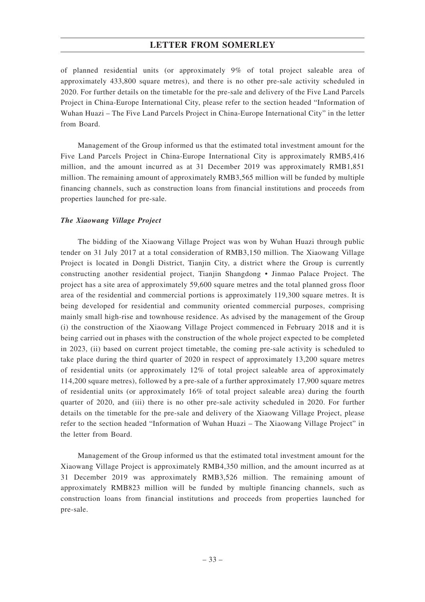of planned residential units (or approximately 9% of total project saleable area of approximately 433,800 square metres), and there is no other pre-sale activity scheduled in 2020. For further details on the timetable for the pre-sale and delivery of the Five Land Parcels Project in China-Europe International City, please refer to the section headed "Information of Wuhan Huazi – The Five Land Parcels Project in China-Europe International City" in the letter from Board.

Management of the Group informed us that the estimated total investment amount for the Five Land Parcels Project in China-Europe International City is approximately RMB5,416 million, and the amount incurred as at 31 December 2019 was approximately RMB1,851 million. The remaining amount of approximately RMB3,565 million will be funded by multiple financing channels, such as construction loans from financial institutions and proceeds from properties launched for pre-sale.

#### *The Xiaowang Village Project*

The bidding of the Xiaowang Village Project was won by Wuhan Huazi through public tender on 31 July 2017 at a total consideration of RMB3,150 million. The Xiaowang Village Project is located in Dongli District, Tianjin City, a district where the Group is currently constructing another residential project, Tianjin Shangdong • Jinmao Palace Project. The project has a site area of approximately 59,600 square metres and the total planned gross floor area of the residential and commercial portions is approximately 119,300 square metres. It is being developed for residential and community oriented commercial purposes, comprising mainly small high-rise and townhouse residence. As advised by the management of the Group (i) the construction of the Xiaowang Village Project commenced in February 2018 and it is being carried out in phases with the construction of the whole project expected to be completed in 2023, (ii) based on current project timetable, the coming pre-sale activity is scheduled to take place during the third quarter of 2020 in respect of approximately 13,200 square metres of residential units (or approximately 12% of total project saleable area of approximately 114,200 square metres), followed by a pre-sale of a further approximately 17,900 square metres of residential units (or approximately 16% of total project saleable area) during the fourth quarter of 2020, and (iii) there is no other pre-sale activity scheduled in 2020. For further details on the timetable for the pre-sale and delivery of the Xiaowang Village Project, please refer to the section headed "Information of Wuhan Huazi – The Xiaowang Village Project" in the letter from Board.

Management of the Group informed us that the estimated total investment amount for the Xiaowang Village Project is approximately RMB4,350 million, and the amount incurred as at 31 December 2019 was approximately RMB3,526 million. The remaining amount of approximately RMB823 million will be funded by multiple financing channels, such as construction loans from financial institutions and proceeds from properties launched for pre-sale.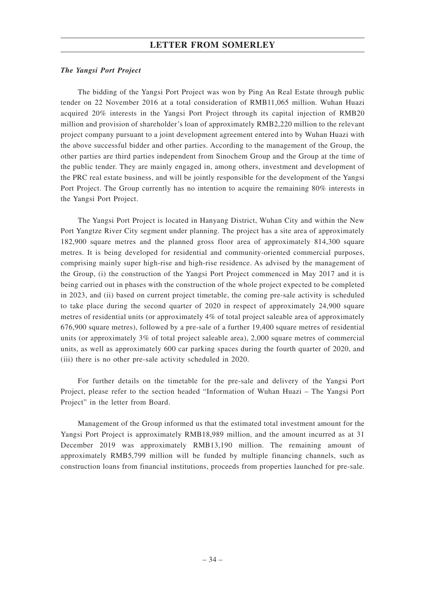#### *The Yangsi Port Project*

The bidding of the Yangsi Port Project was won by Ping An Real Estate through public tender on 22 November 2016 at a total consideration of RMB11,065 million. Wuhan Huazi acquired 20% interests in the Yangsi Port Project through its capital injection of RMB20 million and provision of shareholder's loan of approximately RMB2,220 million to the relevant project company pursuant to a joint development agreement entered into by Wuhan Huazi with the above successful bidder and other parties. According to the management of the Group, the other parties are third parties independent from Sinochem Group and the Group at the time of the public tender. They are mainly engaged in, among others, investment and development of the PRC real estate business, and will be jointly responsible for the development of the Yangsi Port Project. The Group currently has no intention to acquire the remaining 80% interests in the Yangsi Port Project.

The Yangsi Port Project is located in Hanyang District, Wuhan City and within the New Port Yangtze River City segment under planning. The project has a site area of approximately 182,900 square metres and the planned gross floor area of approximately 814,300 square metres. It is being developed for residential and community-oriented commercial purposes, comprising mainly super high-rise and high-rise residence. As advised by the management of the Group, (i) the construction of the Yangsi Port Project commenced in May 2017 and it is being carried out in phases with the construction of the whole project expected to be completed in 2023, and (ii) based on current project timetable, the coming pre-sale activity is scheduled to take place during the second quarter of 2020 in respect of approximately 24,900 square metres of residential units (or approximately 4% of total project saleable area of approximately 676,900 square metres), followed by a pre-sale of a further 19,400 square metres of residential units (or approximately 3% of total project saleable area), 2,000 square metres of commercial units, as well as approximately 600 car parking spaces during the fourth quarter of 2020, and (iii) there is no other pre-sale activity scheduled in 2020.

For further details on the timetable for the pre-sale and delivery of the Yangsi Port Project, please refer to the section headed "Information of Wuhan Huazi – The Yangsi Port Project" in the letter from Board.

Management of the Group informed us that the estimated total investment amount for the Yangsi Port Project is approximately RMB18,989 million, and the amount incurred as at 31 December 2019 was approximately RMB13,190 million. The remaining amount of approximately RMB5,799 million will be funded by multiple financing channels, such as construction loans from financial institutions, proceeds from properties launched for pre-sale.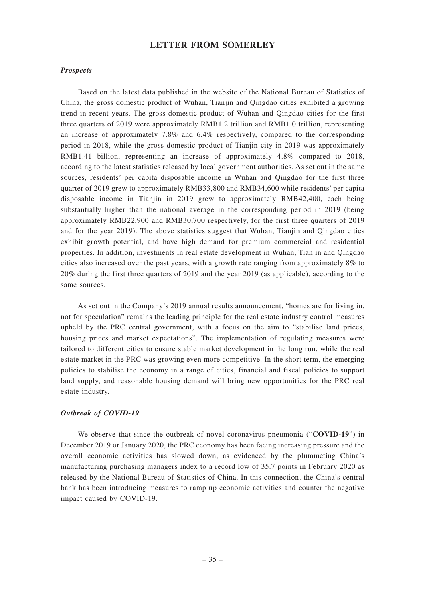#### *Prospects*

Based on the latest data published in the website of the National Bureau of Statistics of China, the gross domestic product of Wuhan, Tianjin and Qingdao cities exhibited a growing trend in recent years. The gross domestic product of Wuhan and Qingdao cities for the first three quarters of 2019 were approximately RMB1.2 trillion and RMB1.0 trillion, representing an increase of approximately 7.8% and 6.4% respectively, compared to the corresponding period in 2018, while the gross domestic product of Tianjin city in 2019 was approximately RMB1.41 billion, representing an increase of approximately 4.8% compared to 2018, according to the latest statistics released by local government authorities. As set out in the same sources, residents' per capita disposable income in Wuhan and Qingdao for the first three quarter of 2019 grew to approximately RMB33,800 and RMB34,600 while residents' per capita disposable income in Tianjin in 2019 grew to approximately RMB42,400, each being substantially higher than the national average in the corresponding period in 2019 (being approximately RMB22,900 and RMB30,700 respectively, for the first three quarters of 2019 and for the year 2019). The above statistics suggest that Wuhan, Tianjin and Qingdao cities exhibit growth potential, and have high demand for premium commercial and residential properties. In addition, investments in real estate development in Wuhan, Tianjin and Qingdao cities also increased over the past years, with a growth rate ranging from approximately 8% to 20% during the first three quarters of 2019 and the year 2019 (as applicable), according to the same sources.

As set out in the Company's 2019 annual results announcement, "homes are for living in, not for speculation" remains the leading principle for the real estate industry control measures upheld by the PRC central government, with a focus on the aim to "stabilise land prices, housing prices and market expectations". The implementation of regulating measures were tailored to different cities to ensure stable market development in the long run, while the real estate market in the PRC was growing even more competitive. In the short term, the emerging policies to stabilise the economy in a range of cities, financial and fiscal policies to support land supply, and reasonable housing demand will bring new opportunities for the PRC real estate industry.

#### *Outbreak of COVID-19*

We observe that since the outbreak of novel coronavirus pneumonia ("**COVID-19**") in December 2019 or January 2020, the PRC economy has been facing increasing pressure and the overall economic activities has slowed down, as evidenced by the plummeting China's manufacturing purchasing managers index to a record low of 35.7 points in February 2020 as released by the National Bureau of Statistics of China. In this connection, the China's central bank has been introducing measures to ramp up economic activities and counter the negative impact caused by COVID-19.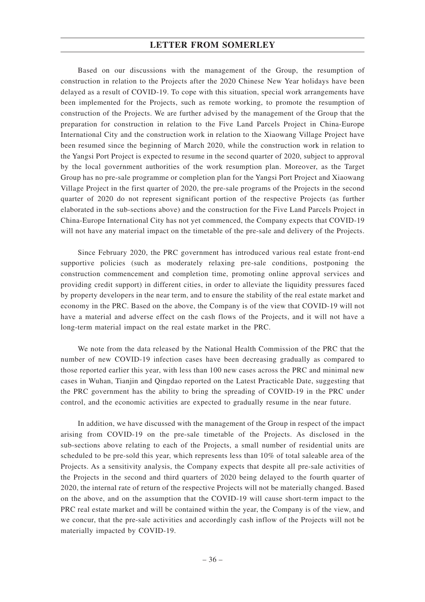Based on our discussions with the management of the Group, the resumption of construction in relation to the Projects after the 2020 Chinese New Year holidays have been delayed as a result of COVID-19. To cope with this situation, special work arrangements have been implemented for the Projects, such as remote working, to promote the resumption of construction of the Projects. We are further advised by the management of the Group that the preparation for construction in relation to the Five Land Parcels Project in China-Europe International City and the construction work in relation to the Xiaowang Village Project have been resumed since the beginning of March 2020, while the construction work in relation to the Yangsi Port Project is expected to resume in the second quarter of 2020, subject to approval by the local government authorities of the work resumption plan. Moreover, as the Target Group has no pre-sale programme or completion plan for the Yangsi Port Project and Xiaowang Village Project in the first quarter of 2020, the pre-sale programs of the Projects in the second quarter of 2020 do not represent significant portion of the respective Projects (as further elaborated in the sub-sections above) and the construction for the Five Land Parcels Project in China-Europe International City has not yet commenced, the Company expects that COVID-19 will not have any material impact on the timetable of the pre-sale and delivery of the Projects.

Since February 2020, the PRC government has introduced various real estate front-end supportive policies (such as moderately relaxing pre-sale conditions, postponing the construction commencement and completion time, promoting online approval services and providing credit support) in different cities, in order to alleviate the liquidity pressures faced by property developers in the near term, and to ensure the stability of the real estate market and economy in the PRC. Based on the above, the Company is of the view that COVID-19 will not have a material and adverse effect on the cash flows of the Projects, and it will not have a long-term material impact on the real estate market in the PRC.

We note from the data released by the National Health Commission of the PRC that the number of new COVID-19 infection cases have been decreasing gradually as compared to those reported earlier this year, with less than 100 new cases across the PRC and minimal new cases in Wuhan, Tianjin and Qingdao reported on the Latest Practicable Date, suggesting that the PRC government has the ability to bring the spreading of COVID-19 in the PRC under control, and the economic activities are expected to gradually resume in the near future.

In addition, we have discussed with the management of the Group in respect of the impact arising from COVID-19 on the pre-sale timetable of the Projects. As disclosed in the sub-sections above relating to each of the Projects, a small number of residential units are scheduled to be pre-sold this year, which represents less than 10% of total saleable area of the Projects. As a sensitivity analysis, the Company expects that despite all pre-sale activities of the Projects in the second and third quarters of 2020 being delayed to the fourth quarter of 2020, the internal rate of return of the respective Projects will not be materially changed. Based on the above, and on the assumption that the COVID-19 will cause short-term impact to the PRC real estate market and will be contained within the year, the Company is of the view, and we concur, that the pre-sale activities and accordingly cash inflow of the Projects will not be materially impacted by COVID-19.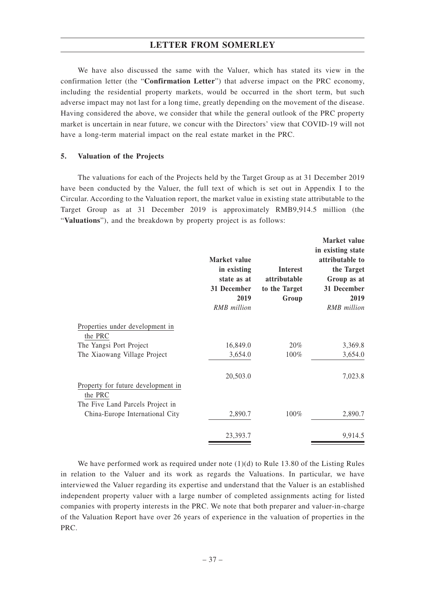We have also discussed the same with the Valuer, which has stated its view in the confirmation letter (the "**Confirmation Letter**") that adverse impact on the PRC economy, including the residential property markets, would be occurred in the short term, but such adverse impact may not last for a long time, greatly depending on the movement of the disease. Having considered the above, we consider that while the general outlook of the PRC property market is uncertain in near future, we concur with the Directors' view that COVID-19 will not have a long-term material impact on the real estate market in the PRC.

#### **5. Valuation of the Projects**

The valuations for each of the Projects held by the Target Group as at 31 December 2019 have been conducted by the Valuer, the full text of which is set out in Appendix I to the Circular. According to the Valuation report, the market value in existing state attributable to the Target Group as at 31 December 2019 is approximately RMB9,914.5 million (the "**Valuations**"), and the breakdown by property project is as follows:

|                                            | Market value<br>in existing<br>state as at<br>31 December<br>2019<br><b>RMB</b> million | <b>Interest</b><br>attributable<br>to the Target<br>Group | Market value<br>in existing state<br>attributable to<br>the Target<br>Group as at<br>31 December<br>2019<br><b>RMB</b> million |
|--------------------------------------------|-----------------------------------------------------------------------------------------|-----------------------------------------------------------|--------------------------------------------------------------------------------------------------------------------------------|
| Properties under development in<br>the PRC |                                                                                         |                                                           |                                                                                                                                |
| The Yangsi Port Project                    | 16,849.0                                                                                | 20%                                                       | 3,369.8                                                                                                                        |
| The Xiaowang Village Project               | 3,654.0                                                                                 | 100%                                                      | 3,654.0                                                                                                                        |
| Property for future development in         | 20,503.0                                                                                |                                                           | 7,023.8                                                                                                                        |
| the PRC                                    |                                                                                         |                                                           |                                                                                                                                |
| The Five Land Parcels Project in           |                                                                                         |                                                           |                                                                                                                                |
| China-Europe International City            | 2,890.7                                                                                 | $100\%$                                                   | 2,890.7                                                                                                                        |
|                                            | 23,393.7                                                                                |                                                           | 9,914.5                                                                                                                        |

We have performed work as required under note  $(1)(d)$  to Rule 13.80 of the Listing Rules in relation to the Valuer and its work as regards the Valuations. In particular, we have interviewed the Valuer regarding its expertise and understand that the Valuer is an established independent property valuer with a large number of completed assignments acting for listed companies with property interests in the PRC. We note that both preparer and valuer-in-charge of the Valuation Report have over 26 years of experience in the valuation of properties in the PRC.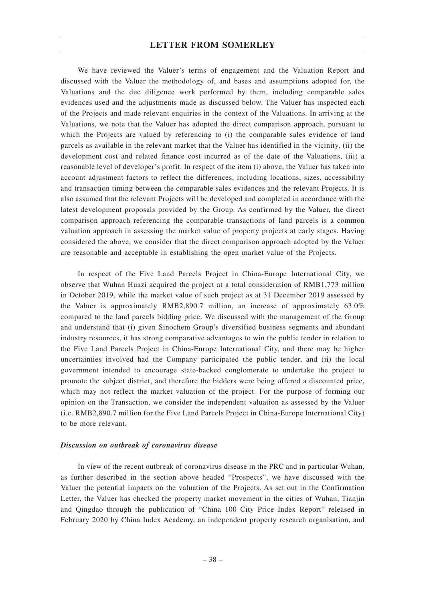We have reviewed the Valuer's terms of engagement and the Valuation Report and discussed with the Valuer the methodology of, and bases and assumptions adopted for, the Valuations and the due diligence work performed by them, including comparable sales evidences used and the adjustments made as discussed below. The Valuer has inspected each of the Projects and made relevant enquiries in the context of the Valuations. In arriving at the Valuations, we note that the Valuer has adopted the direct comparison approach, pursuant to which the Projects are valued by referencing to (i) the comparable sales evidence of land parcels as available in the relevant market that the Valuer has identified in the vicinity, (ii) the development cost and related finance cost incurred as of the date of the Valuations, (iii) a reasonable level of developer's profit. In respect of the item (i) above, the Valuer has taken into account adjustment factors to reflect the differences, including locations, sizes, accessibility and transaction timing between the comparable sales evidences and the relevant Projects. It is also assumed that the relevant Projects will be developed and completed in accordance with the latest development proposals provided by the Group. As confirmed by the Valuer, the direct comparison approach referencing the comparable transactions of land parcels is a common valuation approach in assessing the market value of property projects at early stages. Having considered the above, we consider that the direct comparison approach adopted by the Valuer are reasonable and acceptable in establishing the open market value of the Projects.

In respect of the Five Land Parcels Project in China-Europe International City, we observe that Wuhan Huazi acquired the project at a total consideration of RMB1,773 million in October 2019, while the market value of such project as at 31 December 2019 assessed by the Valuer is approximately RMB2,890.7 million, an increase of approximately 63.0% compared to the land parcels bidding price. We discussed with the management of the Group and understand that (i) given Sinochem Group's diversified business segments and abundant industry resources, it has strong comparative advantages to win the public tender in relation to the Five Land Parcels Project in China-Europe International City, and there may be higher uncertainties involved had the Company participated the public tender, and (ii) the local government intended to encourage state-backed conglomerate to undertake the project to promote the subject district, and therefore the bidders were being offered a discounted price, which may not reflect the market valuation of the project. For the purpose of forming our opinion on the Transaction, we consider the independent valuation as assessed by the Valuer (i.e. RMB2,890.7 million for the Five Land Parcels Project in China-Europe International City) to be more relevant.

#### *Discussion on outbreak of coronavirus disease*

In view of the recent outbreak of coronavirus disease in the PRC and in particular Wuhan, as further described in the section above headed "Prospects", we have discussed with the Valuer the potential impacts on the valuation of the Projects. As set out in the Confirmation Letter, the Valuer has checked the property market movement in the cities of Wuhan, Tianjin and Qingdao through the publication of "China 100 City Price Index Report" released in February 2020 by China Index Academy, an independent property research organisation, and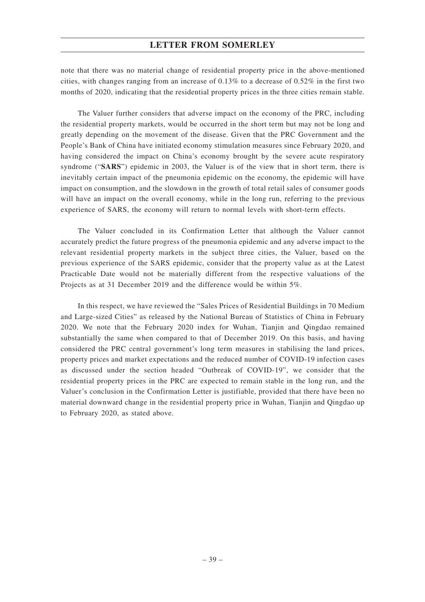note that there was no material change of residential property price in the above-mentioned cities, with changes ranging from an increase of 0.13% to a decrease of 0.52% in the first two months of 2020, indicating that the residential property prices in the three cities remain stable.

The Valuer further considers that adverse impact on the economy of the PRC, including the residential property markets, would be occurred in the short term but may not be long and greatly depending on the movement of the disease. Given that the PRC Government and the People's Bank of China have initiated economy stimulation measures since February 2020, and having considered the impact on China's economy brought by the severe acute respiratory syndrome ("**SARS**") epidemic in 2003, the Valuer is of the view that in short term, there is inevitably certain impact of the pneumonia epidemic on the economy, the epidemic will have impact on consumption, and the slowdown in the growth of total retail sales of consumer goods will have an impact on the overall economy, while in the long run, referring to the previous experience of SARS, the economy will return to normal levels with short-term effects.

The Valuer concluded in its Confirmation Letter that although the Valuer cannot accurately predict the future progress of the pneumonia epidemic and any adverse impact to the relevant residential property markets in the subject three cities, the Valuer, based on the previous experience of the SARS epidemic, consider that the property value as at the Latest Practicable Date would not be materially different from the respective valuations of the Projects as at 31 December 2019 and the difference would be within 5%.

In this respect, we have reviewed the "Sales Prices of Residential Buildings in 70 Medium and Large-sized Cities" as released by the National Bureau of Statistics of China in February 2020. We note that the February 2020 index for Wuhan, Tianjin and Qingdao remained substantially the same when compared to that of December 2019. On this basis, and having considered the PRC central government's long term measures in stabilising the land prices, property prices and market expectations and the reduced number of COVID-19 infection cases as discussed under the section headed "Outbreak of COVID-19", we consider that the residential property prices in the PRC are expected to remain stable in the long run, and the Valuer's conclusion in the Confirmation Letter is justifiable, provided that there have been no material downward change in the residential property price in Wuhan, Tianjin and Qingdao up to February 2020, as stated above.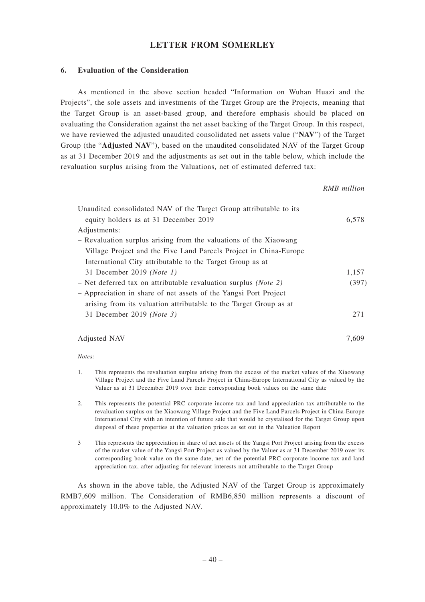#### **6. Evaluation of the Consideration**

As mentioned in the above section headed "Information on Wuhan Huazi and the Projects", the sole assets and investments of the Target Group are the Projects, meaning that the Target Group is an asset-based group, and therefore emphasis should be placed on evaluating the Consideration against the net asset backing of the Target Group. In this respect, we have reviewed the adjusted unaudited consolidated net assets value ("**NAV**") of the Target Group (the "**Adjusted NAV**"), based on the unaudited consolidated NAV of the Target Group as at 31 December 2019 and the adjustments as set out in the table below, which include the revaluation surplus arising from the Valuations, net of estimated deferred tax:

*RMB million* Unaudited consolidated NAV of the Target Group attributable to its equity holders as at 31 December 2019 6,578 Adjustments: – Revaluation surplus arising from the valuations of the Xiaowang Village Project and the Five Land Parcels Project in China-Europe International City attributable to the Target Group as at 31 December 2019 *(Note 1)* 1,157 – Net deferred tax on attributable revaluation surplus *(Note 2)* (397) – Appreciation in share of net assets of the Yangsi Port Project arising from its valuation attributable to the Target Group as at 31 December 2019 *(Note 3)* 271 Adjusted NAV 7,609

#### *Notes:*

- 1. This represents the revaluation surplus arising from the excess of the market values of the Xiaowang Village Project and the Five Land Parcels Project in China-Europe International City as valued by the Valuer as at 31 December 2019 over their corresponding book values on the same date
- 2. This represents the potential PRC corporate income tax and land appreciation tax attributable to the revaluation surplus on the Xiaowang Village Project and the Five Land Parcels Project in China-Europe International City with an intention of future sale that would be crystalised for the Target Group upon disposal of these properties at the valuation prices as set out in the Valuation Report
- 3 This represents the appreciation in share of net assets of the Yangsi Port Project arising from the excess of the market value of the Yangsi Port Project as valued by the Valuer as at 31 December 2019 over its corresponding book value on the same date, net of the potential PRC corporate income tax and land appreciation tax, after adjusting for relevant interests not attributable to the Target Group

As shown in the above table, the Adjusted NAV of the Target Group is approximately RMB7,609 million. The Consideration of RMB6,850 million represents a discount of approximately 10.0% to the Adjusted NAV.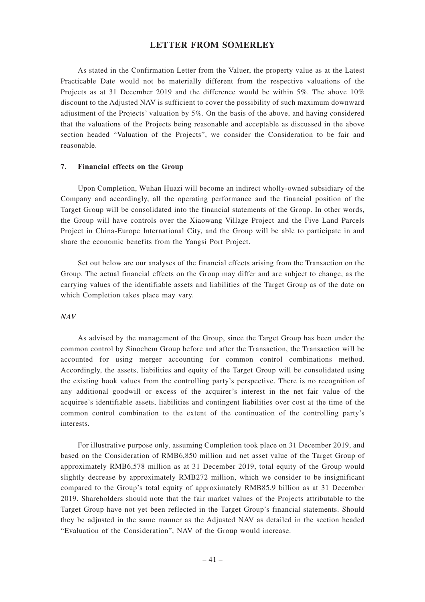As stated in the Confirmation Letter from the Valuer, the property value as at the Latest Practicable Date would not be materially different from the respective valuations of the Projects as at 31 December 2019 and the difference would be within 5%. The above 10% discount to the Adjusted NAV is sufficient to cover the possibility of such maximum downward adjustment of the Projects' valuation by 5%. On the basis of the above, and having considered that the valuations of the Projects being reasonable and acceptable as discussed in the above section headed "Valuation of the Projects", we consider the Consideration to be fair and reasonable.

#### **7. Financial effects on the Group**

Upon Completion, Wuhan Huazi will become an indirect wholly-owned subsidiary of the Company and accordingly, all the operating performance and the financial position of the Target Group will be consolidated into the financial statements of the Group. In other words, the Group will have controls over the Xiaowang Village Project and the Five Land Parcels Project in China-Europe International City, and the Group will be able to participate in and share the economic benefits from the Yangsi Port Project.

Set out below are our analyses of the financial effects arising from the Transaction on the Group. The actual financial effects on the Group may differ and are subject to change, as the carrying values of the identifiable assets and liabilities of the Target Group as of the date on which Completion takes place may vary.

#### *NAV*

As advised by the management of the Group, since the Target Group has been under the common control by Sinochem Group before and after the Transaction, the Transaction will be accounted for using merger accounting for common control combinations method. Accordingly, the assets, liabilities and equity of the Target Group will be consolidated using the existing book values from the controlling party's perspective. There is no recognition of any additional goodwill or excess of the acquirer's interest in the net fair value of the acquiree's identifiable assets, liabilities and contingent liabilities over cost at the time of the common control combination to the extent of the continuation of the controlling party's interests.

For illustrative purpose only, assuming Completion took place on 31 December 2019, and based on the Consideration of RMB6,850 million and net asset value of the Target Group of approximately RMB6,578 million as at 31 December 2019, total equity of the Group would slightly decrease by approximately RMB272 million, which we consider to be insignificant compared to the Group's total equity of approximately RMB85.9 billion as at 31 December 2019. Shareholders should note that the fair market values of the Projects attributable to the Target Group have not yet been reflected in the Target Group's financial statements. Should they be adjusted in the same manner as the Adjusted NAV as detailed in the section headed "Evaluation of the Consideration", NAV of the Group would increase.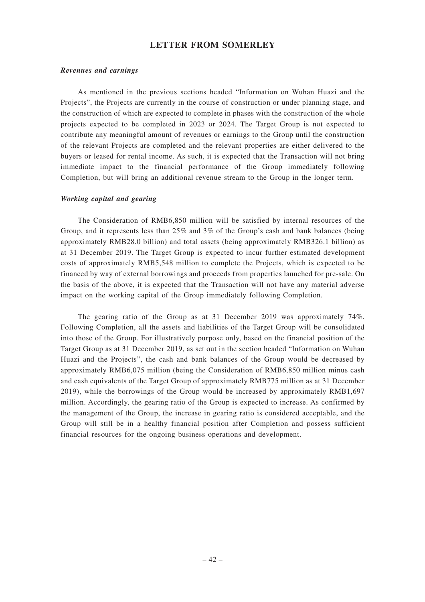#### *Revenues and earnings*

As mentioned in the previous sections headed "Information on Wuhan Huazi and the Projects", the Projects are currently in the course of construction or under planning stage, and the construction of which are expected to complete in phases with the construction of the whole projects expected to be completed in 2023 or 2024. The Target Group is not expected to contribute any meaningful amount of revenues or earnings to the Group until the construction of the relevant Projects are completed and the relevant properties are either delivered to the buyers or leased for rental income. As such, it is expected that the Transaction will not bring immediate impact to the financial performance of the Group immediately following Completion, but will bring an additional revenue stream to the Group in the longer term.

#### *Working capital and gearing*

The Consideration of RMB6,850 million will be satisfied by internal resources of the Group, and it represents less than 25% and 3% of the Group's cash and bank balances (being approximately RMB28.0 billion) and total assets (being approximately RMB326.1 billion) as at 31 December 2019. The Target Group is expected to incur further estimated development costs of approximately RMB5,548 million to complete the Projects, which is expected to be financed by way of external borrowings and proceeds from properties launched for pre-sale. On the basis of the above, it is expected that the Transaction will not have any material adverse impact on the working capital of the Group immediately following Completion.

The gearing ratio of the Group as at 31 December 2019 was approximately 74%. Following Completion, all the assets and liabilities of the Target Group will be consolidated into those of the Group. For illustratively purpose only, based on the financial position of the Target Group as at 31 December 2019, as set out in the section headed "Information on Wuhan Huazi and the Projects", the cash and bank balances of the Group would be decreased by approximately RMB6,075 million (being the Consideration of RMB6,850 million minus cash and cash equivalents of the Target Group of approximately RMB775 million as at 31 December 2019), while the borrowings of the Group would be increased by approximately RMB1,697 million. Accordingly, the gearing ratio of the Group is expected to increase. As confirmed by the management of the Group, the increase in gearing ratio is considered acceptable, and the Group will still be in a healthy financial position after Completion and possess sufficient financial resources for the ongoing business operations and development.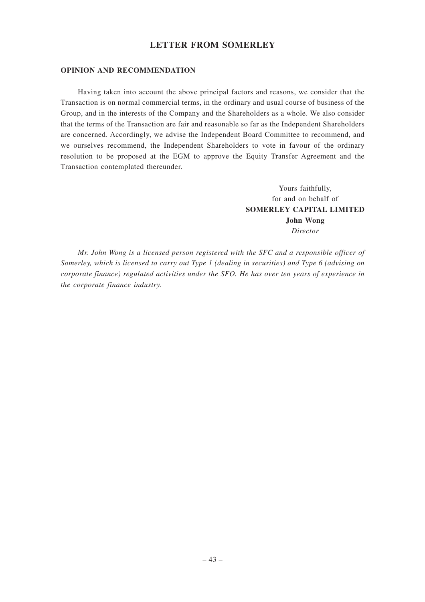#### **OPINION AND RECOMMENDATION**

Having taken into account the above principal factors and reasons, we consider that the Transaction is on normal commercial terms, in the ordinary and usual course of business of the Group, and in the interests of the Company and the Shareholders as a whole. We also consider that the terms of the Transaction are fair and reasonable so far as the Independent Shareholders are concerned. Accordingly, we advise the Independent Board Committee to recommend, and we ourselves recommend, the Independent Shareholders to vote in favour of the ordinary resolution to be proposed at the EGM to approve the Equity Transfer Agreement and the Transaction contemplated thereunder.

> Yours faithfully, for and on behalf of **SOMERLEY CAPITAL LIMITED John Wong** *Director*

*Mr. John Wong is a licensed person registered with the SFC and a responsible officer of Somerley, which is licensed to carry out Type 1 (dealing in securities) and Type 6 (advising on corporate finance) regulated activities under the SFO. He has over ten years of experience in the corporate finance industry.*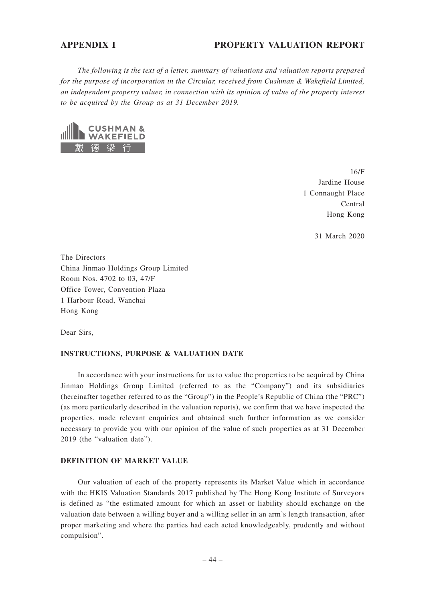### **APPENDIX I PROPERTY VALUATION REPORT**

*The following is the text of a letter, summary of valuations and valuation reports prepared for the purpose of incorporation in the Circular, received from Cushman & Wakefield Limited, an independent property valuer, in connection with its opinion of value of the property interest to be acquired by the Group as at 31 December 2019.*



16/F Jardine House 1 Connaught Place Central Hong Kong

31 March 2020

The Directors China Jinmao Holdings Group Limited Room Nos. 4702 to 03, 47/F Office Tower, Convention Plaza 1 Harbour Road, Wanchai Hong Kong

Dear Sirs,

#### **INSTRUCTIONS, PURPOSE & VALUATION DATE**

In accordance with your instructions for us to value the properties to be acquired by China Jinmao Holdings Group Limited (referred to as the "Company") and its subsidiaries (hereinafter together referred to as the "Group") in the People's Republic of China (the "PRC") (as more particularly described in the valuation reports), we confirm that we have inspected the properties, made relevant enquiries and obtained such further information as we consider necessary to provide you with our opinion of the value of such properties as at 31 December 2019 (the "valuation date").

#### **DEFINITION OF MARKET VALUE**

Our valuation of each of the property represents its Market Value which in accordance with the HKIS Valuation Standards 2017 published by The Hong Kong Institute of Surveyors is defined as "the estimated amount for which an asset or liability should exchange on the valuation date between a willing buyer and a willing seller in an arm's length transaction, after proper marketing and where the parties had each acted knowledgeably, prudently and without compulsion".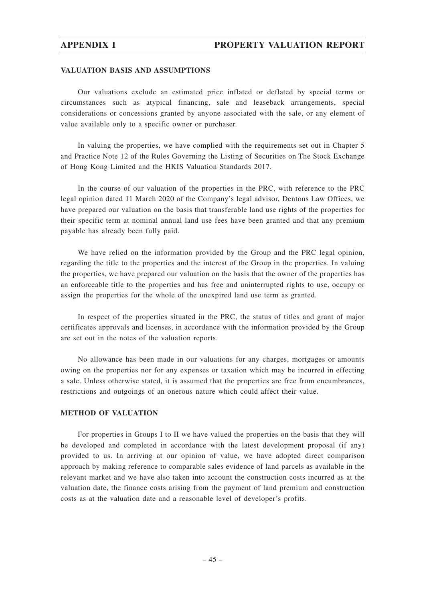#### **VALUATION BASIS AND ASSUMPTIONS**

Our valuations exclude an estimated price inflated or deflated by special terms or circumstances such as atypical financing, sale and leaseback arrangements, special considerations or concessions granted by anyone associated with the sale, or any element of value available only to a specific owner or purchaser.

In valuing the properties, we have complied with the requirements set out in Chapter 5 and Practice Note 12 of the Rules Governing the Listing of Securities on The Stock Exchange of Hong Kong Limited and the HKIS Valuation Standards 2017.

In the course of our valuation of the properties in the PRC, with reference to the PRC legal opinion dated 11 March 2020 of the Company's legal advisor, Dentons Law Offices, we have prepared our valuation on the basis that transferable land use rights of the properties for their specific term at nominal annual land use fees have been granted and that any premium payable has already been fully paid.

We have relied on the information provided by the Group and the PRC legal opinion, regarding the title to the properties and the interest of the Group in the properties. In valuing the properties, we have prepared our valuation on the basis that the owner of the properties has an enforceable title to the properties and has free and uninterrupted rights to use, occupy or assign the properties for the whole of the unexpired land use term as granted.

In respect of the properties situated in the PRC, the status of titles and grant of major certificates approvals and licenses, in accordance with the information provided by the Group are set out in the notes of the valuation reports.

No allowance has been made in our valuations for any charges, mortgages or amounts owing on the properties nor for any expenses or taxation which may be incurred in effecting a sale. Unless otherwise stated, it is assumed that the properties are free from encumbrances, restrictions and outgoings of an onerous nature which could affect their value.

#### **METHOD OF VALUATION**

For properties in Groups I to II we have valued the properties on the basis that they will be developed and completed in accordance with the latest development proposal (if any) provided to us. In arriving at our opinion of value, we have adopted direct comparison approach by making reference to comparable sales evidence of land parcels as available in the relevant market and we have also taken into account the construction costs incurred as at the valuation date, the finance costs arising from the payment of land premium and construction costs as at the valuation date and a reasonable level of developer's profits.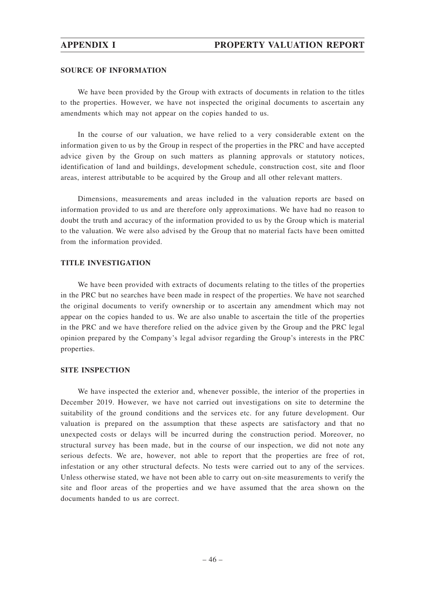#### **SOURCE OF INFORMATION**

We have been provided by the Group with extracts of documents in relation to the titles to the properties. However, we have not inspected the original documents to ascertain any amendments which may not appear on the copies handed to us.

In the course of our valuation, we have relied to a very considerable extent on the information given to us by the Group in respect of the properties in the PRC and have accepted advice given by the Group on such matters as planning approvals or statutory notices, identification of land and buildings, development schedule, construction cost, site and floor areas, interest attributable to be acquired by the Group and all other relevant matters.

Dimensions, measurements and areas included in the valuation reports are based on information provided to us and are therefore only approximations. We have had no reason to doubt the truth and accuracy of the information provided to us by the Group which is material to the valuation. We were also advised by the Group that no material facts have been omitted from the information provided.

#### **TITLE INVESTIGATION**

We have been provided with extracts of documents relating to the titles of the properties in the PRC but no searches have been made in respect of the properties. We have not searched the original documents to verify ownership or to ascertain any amendment which may not appear on the copies handed to us. We are also unable to ascertain the title of the properties in the PRC and we have therefore relied on the advice given by the Group and the PRC legal opinion prepared by the Company's legal advisor regarding the Group's interests in the PRC properties.

### **SITE INSPECTION**

We have inspected the exterior and, whenever possible, the interior of the properties in December 2019. However, we have not carried out investigations on site to determine the suitability of the ground conditions and the services etc. for any future development. Our valuation is prepared on the assumption that these aspects are satisfactory and that no unexpected costs or delays will be incurred during the construction period. Moreover, no structural survey has been made, but in the course of our inspection, we did not note any serious defects. We are, however, not able to report that the properties are free of rot, infestation or any other structural defects. No tests were carried out to any of the services. Unless otherwise stated, we have not been able to carry out on-site measurements to verify the site and floor areas of the properties and we have assumed that the area shown on the documents handed to us are correct.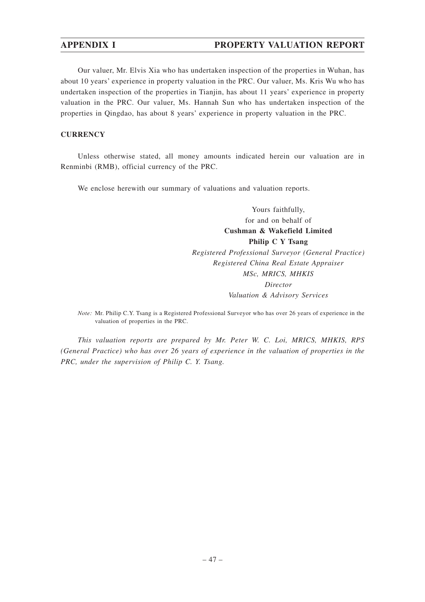## **APPENDIX I PROPERTY VALUATION REPORT**

Our valuer, Mr. Elvis Xia who has undertaken inspection of the properties in Wuhan, has about 10 years' experience in property valuation in the PRC. Our valuer, Ms. Kris Wu who has undertaken inspection of the properties in Tianjin, has about 11 years' experience in property valuation in the PRC. Our valuer, Ms. Hannah Sun who has undertaken inspection of the properties in Qingdao, has about 8 years' experience in property valuation in the PRC.

### **CURRENCY**

Unless otherwise stated, all money amounts indicated herein our valuation are in Renminbi (RMB), official currency of the PRC.

We enclose herewith our summary of valuations and valuation reports.

Yours faithfully, for and on behalf of **Cushman & Wakefield Limited Philip C Y Tsang** *Registered Professional Surveyor (General Practice) Registered China Real Estate Appraiser MSc, MRICS, MHKIS Director Valuation & Advisory Services*

*Note:* Mr. Philip C.Y. Tsang is a Registered Professional Surveyor who has over 26 years of experience in the valuation of properties in the PRC.

*This valuation reports are prepared by Mr. Peter W. C. Loi, MRICS, MHKIS, RPS (General Practice) who has over 26 years of experience in the valuation of properties in the PRC, under the supervision of Philip C. Y. Tsang.*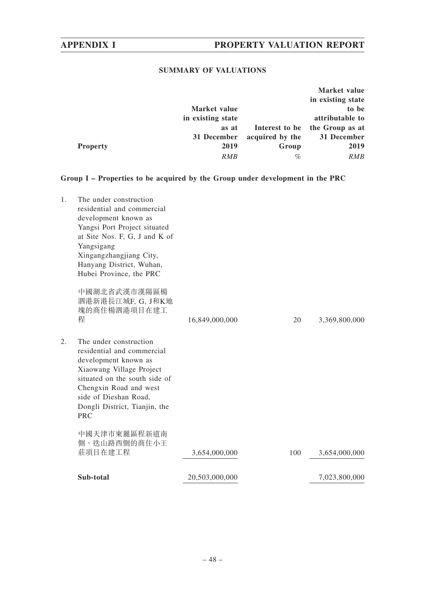## **SUMMARY OF VALUATIONS**

|                 |                   |                 | Market value      |
|-----------------|-------------------|-----------------|-------------------|
|                 |                   |                 | in existing state |
|                 | Market value      |                 | to be             |
|                 | in existing state |                 | attributable to   |
|                 | as at             | Interest to be  | the Group as at   |
|                 | 31 December       | acquired by the | 31 December       |
| <b>Property</b> | 2019              | Group           | 2019              |
|                 | <b>RMB</b>        | %               | RMB               |

**Group I – Properties to be acquired by the Group under development in the PRC**

| 1. | The under construction<br>residential and commercial<br>development known as<br>Yangsi Port Project situated<br>at Site Nos. F, G, J and K of<br>Yangsigang<br>Xingangzhangjiang City,<br>Hanyang District, Wuhan,<br>Hubei Province, the PRC<br>中國湖北省武漢市漢陽區楊<br>泗港新港長江城F, G, J和K地<br>塊的商住楊泗港項目在建工 |                |     |               |
|----|----------------------------------------------------------------------------------------------------------------------------------------------------------------------------------------------------------------------------------------------------------------------------------------------------|----------------|-----|---------------|
|    | 程                                                                                                                                                                                                                                                                                                  | 16,849,000,000 | 20  | 3,369,800,000 |
| 2. | The under construction<br>residential and commercial<br>development known as<br>Xiaowang Village Project<br>situated on the south side of<br>Chengxin Road and west<br>side of Dieshan Road,<br>Dongli District, Tianjin, the<br><b>PRC</b>                                                        |                |     |               |
|    | 中國天津市東麗區程新道南<br>側、迭山路西側的商住小王<br>莊項目在建工程                                                                                                                                                                                                                                                            | 3,654,000,000  | 100 | 3,654,000,000 |
|    | Sub-total                                                                                                                                                                                                                                                                                          | 20,503,000,000 |     | 7,023,800,000 |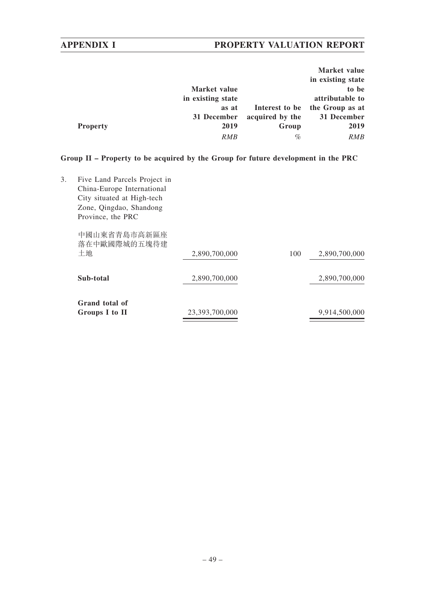# **APPENDIX I PROPERTY VALUATION REPORT**

|                 |                   |                 | Market value      |
|-----------------|-------------------|-----------------|-------------------|
|                 |                   |                 | in existing state |
|                 | Market value      |                 | to be             |
|                 | in existing state |                 | attributable to   |
|                 | as at             | Interest to be  | the Group as at   |
|                 | 31 December       | acquired by the | 31 December       |
| <b>Property</b> | 2019              | Group           | 2019              |
|                 | <i>RMB</i>        | $\%$            | RMB               |

## **Group II – Property to be acquired by the Group for future development in the PRC**

| 3. | Five Land Parcels Project in<br>China-Europe International<br>City situated at High-tech<br>Zone, Qingdao, Shandong<br>Province, the PRC |                |     |               |
|----|------------------------------------------------------------------------------------------------------------------------------------------|----------------|-----|---------------|
|    | 中國山東省青島市高新區座<br>落在中歐國際城的五塊待建<br>土地                                                                                                       | 2,890,700,000  | 100 | 2,890,700,000 |
|    | Sub-total                                                                                                                                | 2,890,700,000  |     | 2,890,700,000 |
|    | Grand total of<br>Groups I to II                                                                                                         | 23,393,700,000 |     | 9,914,500,000 |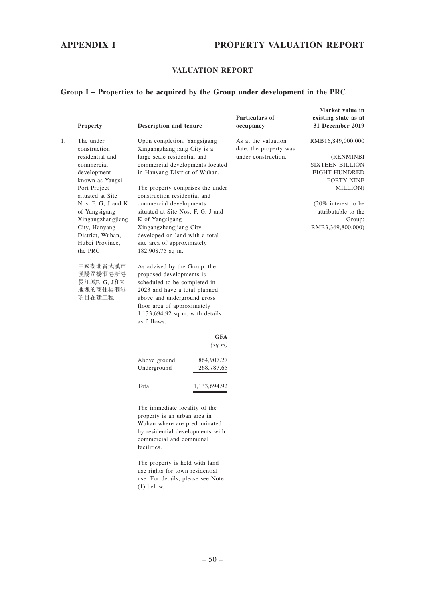## **APPENDIX I PROPERTY VALUATION REPORT**

## **VALUATION REPORT**

### **Group I – Properties to be acquired by the Group under development in the PRC**

|    |                                                                                                                             |                                                                                                                                                                                                                                           |                          |                                                                      | Market value in                                                                                       |
|----|-----------------------------------------------------------------------------------------------------------------------------|-------------------------------------------------------------------------------------------------------------------------------------------------------------------------------------------------------------------------------------------|--------------------------|----------------------------------------------------------------------|-------------------------------------------------------------------------------------------------------|
|    |                                                                                                                             |                                                                                                                                                                                                                                           |                          | Particulars of                                                       | existing state as at                                                                                  |
|    | Property                                                                                                                    | Description and tenure                                                                                                                                                                                                                    |                          | occupancy                                                            | 31 December 2019                                                                                      |
| 1. | The under<br>construction<br>residential and<br>commercial<br>development<br>known as Yangsi                                | Upon completion, Yangsigang<br>Xingangzhangjiang City is a<br>large scale residential and<br>commercial developments located<br>in Hanyang District of Wuhan.                                                                             |                          | As at the valuation<br>date, the property was<br>under construction. | RMB16,849,000,000<br>(RENMINBI<br><b>SIXTEEN BILLION</b><br><b>EIGHT HUNDRED</b><br><b>FORTY NINE</b> |
|    | Port Project<br>situated at Site                                                                                            | The property comprises the under<br>construction residential and                                                                                                                                                                          |                          |                                                                      | MILLION)                                                                                              |
|    | Nos. F, G, J and K<br>of Yangsigang<br>Xingangzhangjiang<br>City, Hanyang<br>District, Wuhan,<br>Hubei Province,<br>the PRC | commercial developments<br>situated at Site Nos. F, G, J and<br>K of Yangsigang<br>Xingangzhangjiang City<br>developed on land with a total<br>site area of approximately<br>182,908.75 sq m.                                             |                          |                                                                      | $(20\%$ interest to be<br>attributable to the<br>Group:<br>RMB3,369,800,000)                          |
|    | 中國湖北省武漢市<br>漢陽區楊泗港新港<br>長江城F, G, J和K<br>地塊的商住楊泗港<br>項目在建工程                                                                  | As advised by the Group, the<br>proposed developments is<br>scheduled to be completed in<br>2023 and have a total planned<br>above and underground gross<br>floor area of approximately<br>1,133,694.92 sq m. with details<br>as follows. |                          |                                                                      |                                                                                                       |
|    |                                                                                                                             |                                                                                                                                                                                                                                           | <b>GFA</b>               |                                                                      |                                                                                                       |
|    |                                                                                                                             |                                                                                                                                                                                                                                           | $(sq \; m)$              |                                                                      |                                                                                                       |
|    |                                                                                                                             | Above ground<br>Underground                                                                                                                                                                                                               | 864,907.27<br>268,787.65 |                                                                      |                                                                                                       |
|    |                                                                                                                             | Total                                                                                                                                                                                                                                     | 1,133,694.92             |                                                                      |                                                                                                       |
|    |                                                                                                                             | The immediate locality of the<br>property is an urban area in<br>Wuhan where are predominated<br>by residential developments with<br>commercial and communal<br>facilities.<br>The property is held with land                             |                          |                                                                      |                                                                                                       |
|    |                                                                                                                             | use rights for town residential<br>use. For details, please see Note                                                                                                                                                                      |                          |                                                                      |                                                                                                       |

(1) below.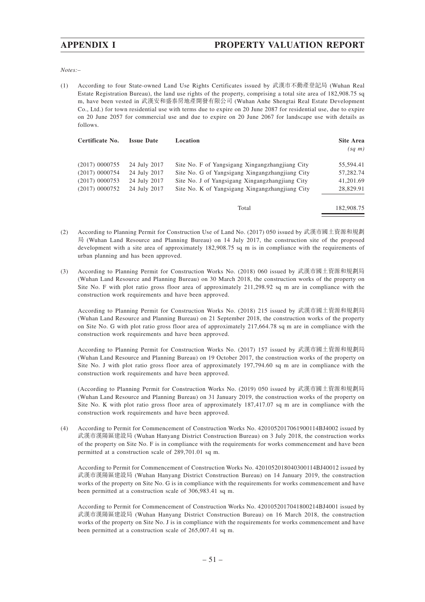*Notes:–*

(1) According to four State-owned Land Use Rights Certificates issued by 武漢市不動產登記局 (Wuhan Real Estate Registration Bureau), the land use rights of the property, comprising a total site area of 182,908.75 sq m, have been vested in 武漢安和盛泰房地產開發有限公司 (Wuhan Anhe Shengtai Real Estate Development Co., Ltd.) for town residential use with terms due to expire on 20 June 2087 for residential use, due to expire on 20 June 2057 for commercial use and due to expire on 20 June 2067 for landscape use with details as follows.

| Certificate No.  | <b>Issue Date</b> | Location                                        | Site Area<br>$(sq \; m)$ |
|------------------|-------------------|-------------------------------------------------|--------------------------|
|                  |                   |                                                 |                          |
| $(2017)$ 0000755 | 24 July 2017      | Site No. F of Yangsigang Xingangzhangjiang City | 55.594.41                |
| $(2017)$ 0000754 | 24 July 2017      | Site No. G of Yangsigang Xingangzhangjiang City | 57,282.74                |
| $(2017)$ 0000753 | 24 July 2017      | Site No. J of Yangsigang Xingangzhangjiang City | 41,201.69                |
| (2017) 0000752   | 24 July 2017      | Site No. K of Yangsigang Xingangzhangjiang City | 28,829.91                |
|                  |                   |                                                 |                          |
|                  |                   | Total                                           | 182,908.75               |

- (2) According to Planning Permit for Construction Use of Land No. (2017) 050 issued by 武漢市國土資源和規劃 局 (Wuhan Land Resource and Planning Bureau) on 14 July 2017, the construction site of the proposed development with a site area of approximately 182,908.75 sq m is in compliance with the requirements of urban planning and has been approved.
- (3) According to Planning Permit for Construction Works No. (2018) 060 issued by 武漢市國土資源和規劃局 (Wuhan Land Resource and Planning Bureau) on 30 March 2018, the construction works of the property on Site No. F with plot ratio gross floor area of approximately 211,298.92 sq m are in compliance with the construction work requirements and have been approved.

According to Planning Permit for Construction Works No. (2018) 215 issued by 武漢市國土資源和規劃局 (Wuhan Land Resource and Planning Bureau) on 21 September 2018, the construction works of the property on Site No. G with plot ratio gross floor area of approximately 217,664.78 sq m are in compliance with the construction work requirements and have been approved.

According to Planning Permit for Construction Works No. (2017) 157 issued by 武漢市國土資源和規劃局 (Wuhan Land Resource and Planning Bureau) on 19 October 2017, the construction works of the property on Site No. J with plot ratio gross floor area of approximately 197,794.60 sq m are in compliance with the construction work requirements and have been approved.

(According to Planning Permit for Construction Works No. (2019) 050 issued by 武漢市國土資源和規劃局 (Wuhan Land Resource and Planning Bureau) on 31 January 2019, the construction works of the property on Site No. K with plot ratio gross floor area of approximately 187,417.07 sq m are in compliance with the construction work requirements and have been approved.

(4) According to Permit for Commencement of Construction Works No. 4201052017061900114BJ4002 issued by 武漢市漢陽區建設局 (Wuhan Hanyang District Construction Bureau) on 3 July 2018, the construction works of the property on Site No. F is in compliance with the requirements for works commencement and have been permitted at a construction scale of 289,701.01 sq m.

According to Permit for Commencement of Construction Works No. 4201052018040300114BJ40012 issued by 武漢市漢陽區建設局 (Wuhan Hanyang District Construction Bureau) on 14 January 2019, the construction works of the property on Site No. G is in compliance with the requirements for works commencement and have been permitted at a construction scale of 306,983.41 sq m.

According to Permit for Commencement of Construction Works No. 4201052017041800214BJ4001 issued by 武漢市漢陽區建設局 (Wuhan Hanyang District Construction Bureau) on 16 March 2018, the construction works of the property on Site No. J is in compliance with the requirements for works commencement and have been permitted at a construction scale of 265,007.41 sq m.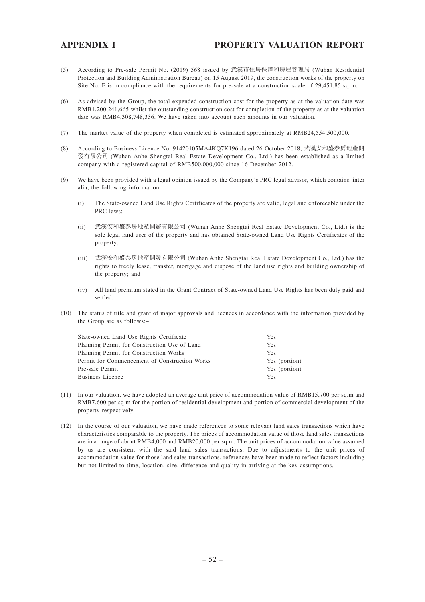- (5) According to Pre-sale Permit No. (2019) 568 issued by 武漢市住房保障和房屋管理局 (Wuhan Residential Protection and Building Administration Bureau) on 15 August 2019, the construction works of the property on Site No. F is in compliance with the requirements for pre-sale at a construction scale of 29,451.85 sq m.
- (6) As advised by the Group, the total expended construction cost for the property as at the valuation date was RMB1,200,241,665 whilst the outstanding construction cost for completion of the property as at the valuation date was RMB4,308,748,336. We have taken into account such amounts in our valuation.
- (7) The market value of the property when completed is estimated approximately at RMB24,554,500,000.
- (8) According to Business Licence No. 91420105MA4KQ7K196 dated 26 October 2018, 武漢安和盛泰房地產開 發有限公司 (Wuhan Anhe Shengtai Real Estate Development Co., Ltd.) has been established as a limited company with a registered capital of RMB500,000,000 since 16 December 2012.
- (9) We have been provided with a legal opinion issued by the Company's PRC legal advisor, which contains, inter alia, the following information:
	- (i) The State-owned Land Use Rights Certificates of the property are valid, legal and enforceable under the PRC laws;
	- (ii) 武漢安和盛泰房地產開發有限公司 (Wuhan Anhe Shengtai Real Estate Development Co., Ltd.) is the sole legal land user of the property and has obtained State-owned Land Use Rights Certificates of the property;
	- (iii) 武漢安和盛泰房地產開發有限公司 (Wuhan Anhe Shengtai Real Estate Development Co., Ltd.) has the rights to freely lease, transfer, mortgage and dispose of the land use rights and building ownership of the property; and
	- (iv) All land premium stated in the Grant Contract of State-owned Land Use Rights has been duly paid and settled.
- (10) The status of title and grant of major approvals and licences in accordance with the information provided by the Group are as follows:–

| State-owned Land Use Rights Certificate       | <b>Yes</b>    |
|-----------------------------------------------|---------------|
| Planning Permit for Construction Use of Land  | <b>Yes</b>    |
| Planning Permit for Construction Works        | <b>Yes</b>    |
| Permit for Commencement of Construction Works | Yes (portion) |
| Pre-sale Permit                               | Yes (portion) |
| Business Licence                              | Yes           |

- (11) In our valuation, we have adopted an average unit price of accommodation value of RMB15,700 per sq.m and RMB7,600 per sq m for the portion of residential development and portion of commercial development of the property respectively.
- (12) In the course of our valuation, we have made references to some relevant land sales transactions which have characteristics comparable to the property. The prices of accommodation value of those land sales transactions are in a range of about RMB4,000 and RMB20,000 per sq.m. The unit prices of accommodation value assumed by us are consistent with the said land sales transactions. Due to adjustments to the unit prices of accommodation value for those land sales transactions, references have been made to reflect factors including but not limited to time, location, size, difference and quality in arriving at the key assumptions.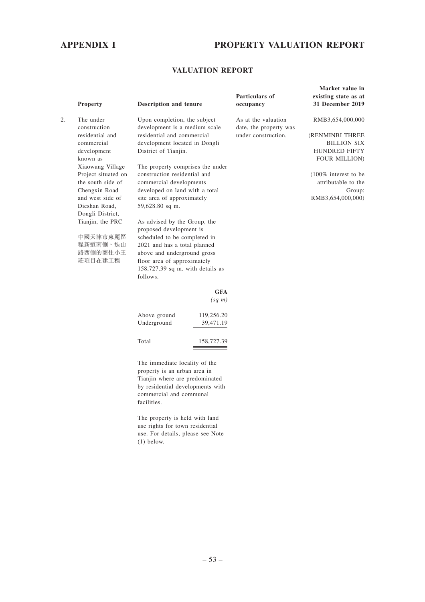## **APPENDIX I PROPERTY VALUATION REPORT**

**Market value in**

## **VALUATION REPORT**

|    | Property                  | <b>Description and tenure</b>                                 |             | <b>Particulars of</b><br>occupancy            | existing state as at<br>31 December 2019 |
|----|---------------------------|---------------------------------------------------------------|-------------|-----------------------------------------------|------------------------------------------|
| 2. | The under<br>construction | Upon completion, the subject<br>development is a medium scale |             | As at the valuation<br>date, the property was | RMB3,654,000,000                         |
|    | residential and           | residential and commercial                                    |             | under construction.                           | (RENMINBI THREE                          |
|    | commercial                | development located in Dongli                                 |             |                                               | <b>BILLION SIX</b>                       |
|    | development               | District of Tianjin.                                          |             |                                               | HUNDRED FIFTY                            |
|    | known as                  |                                                               |             |                                               | <b>FOUR MILLION)</b>                     |
|    | Xiaowang Village          | The property comprises the under                              |             |                                               |                                          |
|    | Project situated on       | construction residential and                                  |             |                                               | $(100\%$ interest to be                  |
|    | the south side of         | commercial developments                                       |             |                                               | attributable to the                      |
|    | Chengxin Road             | developed on land with a total                                |             |                                               | Group:                                   |
|    | and west side of          | site area of approximately                                    |             |                                               | RMB3,654,000,000)                        |
|    | Dieshan Road,             | 59,628.80 sq m.                                               |             |                                               |                                          |
|    | Dongli District,          |                                                               |             |                                               |                                          |
|    | Tianjin, the PRC          | As advised by the Group, the                                  |             |                                               |                                          |
|    |                           | proposed development is                                       |             |                                               |                                          |
|    | 中國天津市東麗區                  | scheduled to be completed in                                  |             |                                               |                                          |
|    | 程新道南側、迭山                  | 2021 and has a total planned                                  |             |                                               |                                          |
|    | 路西側的商住小王                  | above and underground gross                                   |             |                                               |                                          |
|    | 莊項目在建工程                   | floor area of approximately                                   |             |                                               |                                          |
|    |                           | $158,727.39$ sq m. with details as                            |             |                                               |                                          |
|    |                           | follows.                                                      |             |                                               |                                          |
|    |                           |                                                               | <b>GFA</b>  |                                               |                                          |
|    |                           |                                                               | $(sq \; m)$ |                                               |                                          |
|    |                           | Above ground                                                  | 119,256.20  |                                               |                                          |
|    |                           | Underground                                                   | 39,471.19   |                                               |                                          |
|    |                           | Total                                                         | 158,727.39  |                                               |                                          |
|    |                           | The immediate locality of the                                 |             |                                               |                                          |

property is an urban area in Tianjin where are predominated by residential developments with commercial and communal facilities.

The property is held with land use rights for town residential use. For details, please see Note (1) below.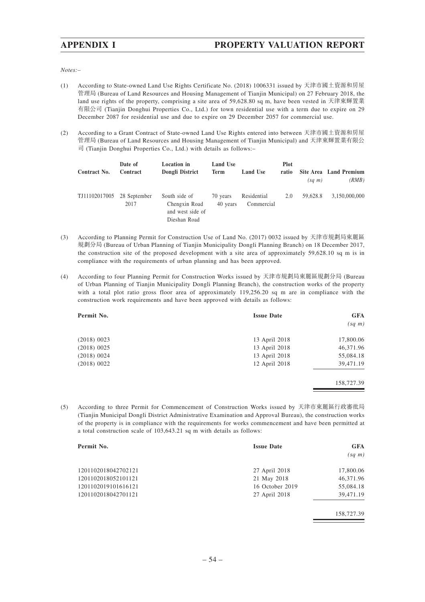*Notes:–*

- (1) According to State-owned Land Use Rights Certificate No. (2018) 1006331 issued by 天津市國土資源和房屋 管理局 (Bureau of Land Resources and Housing Management of Tianjin Municipal) on 27 February 2018, the land use rights of the property, comprising a site area of 59,628.80 sq m, have been vested in 天津東輝置業 有限公司 (Tianjin Donghui Properties Co., Ltd.) for town residential use with a term due to expire on 29 December 2087 for residential use and due to expire on 29 December 2057 for commercial use.
- (2) According to a Grant Contract of State-owned Land Use Rights entered into between 天津市國土資源和房屋 管理局 (Bureau of Land Resources and Housing Management of Tianjin Municipal) and 天津東輝置業有限公 司 (Tianjin Donghui Properties Co., Ltd.) with details as follows:–

| Contract No.  | Date of<br>Contract  | <b>Location</b> in<br>Dongli District                              | <b>Land Use</b><br><b>Term</b> | Land Use                  | <b>Plot</b><br>ratio | $(sq \; m)$ | <b>Site Area</b> Land Premium<br>(RMB) |
|---------------|----------------------|--------------------------------------------------------------------|--------------------------------|---------------------------|----------------------|-------------|----------------------------------------|
| TJ11102017005 | 28 September<br>2017 | South side of<br>Chengxin Road<br>and west side of<br>Dieshan Road | 70 years<br>40 years           | Residential<br>Commercial | 2.0                  | 59.628.8    | 3.150.000.000                          |

- (3) According to Planning Permit for Construction Use of Land No. (2017) 0032 issued by 天津市規劃局東麗區 規劃分局 (Bureau of Urban Planning of Tianjin Municipality Dongli Planning Branch) on 18 December 2017, the construction site of the proposed development with a site area of approximately 59,628.10 sq m is in compliance with the requirements of urban planning and has been approved.
- (4) According to four Planning Permit for Construction Works issued by 天津市規劃局東麗區規劃分局 (Bureau of Urban Planning of Tianjin Municipality Dongli Planning Branch), the construction works of the property with a total plot ratio gross floor area of approximately 119,256.20 sq m are in compliance with the construction work requirements and have been approved with details as follows:

| Permit No.  | <b>Issue Date</b> | <b>GFA</b><br>$(sq \; m)$ |
|-------------|-------------------|---------------------------|
| (2018) 0023 | 13 April 2018     | 17,800.06                 |
| (2018) 0025 | 13 April 2018     | 46,371.96                 |
| (2018) 0024 | 13 April 2018     | 55,084.18                 |
| (2018) 0022 | 12 April 2018     | 39,471.19                 |
|             |                   |                           |
|             |                   | 158,727.39                |

(5) According to three Permit for Commencement of Construction Works issued by 天津市東麗區行政審批局 (Tianjin Municipal Dongli District Administrative Examination and Approval Bureau), the construction works of the property is in compliance with the requirements for works commencement and have been permitted at a total construction scale of 103,643.21 sq m with details as follows:

| Permit No.          | <b>Issue Date</b> | <b>GFA</b>  |
|---------------------|-------------------|-------------|
|                     |                   | $(sq \; m)$ |
| 1201102018042702121 | 27 April 2018     | 17,800.06   |
| 1201102018052101121 | 21 May 2018       | 46,371.96   |
| 1201102019101616121 | 16 October 2019   | 55,084.18   |
| 1201102018042701121 | 27 April 2018     | 39,471.19   |
|                     |                   | 158,727.39  |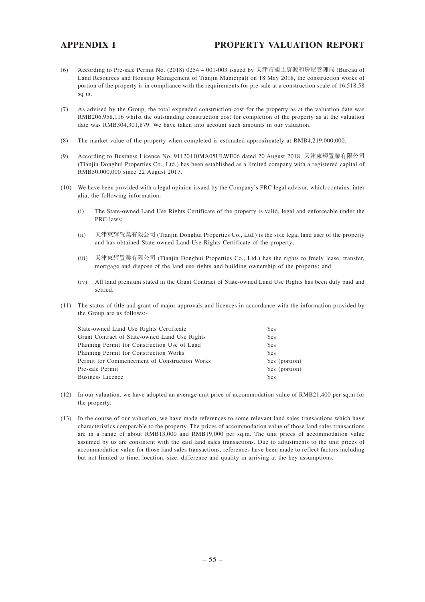- (6) According to Pre-sale Permit No. (2018) 0254 001-003 issued by 天津市國土資源和房屋管理局 (Bureau of Land Resources and Housing Management of Tianjin Municipal) on 18 May 2018, the construction works of portion of the property is in compliance with the requirements for pre-sale at a construction scale of 16,518.58 sq m.
- (7) As advised by the Group, the total expended construction cost for the property as at the valuation date was RMB206,958,116 whilst the outstanding construction cost for completion of the property as at the valuation date was RMB304,301,879. We have taken into account such amounts in our valuation.
- (8) The market value of the property when completed is estimated approximately at RMB4,219,000,000.
- (9) According to Business Licence No. 91120110MA05ULWE06 dated 20 August 2018, 天津東輝置業有限公司 (Tianjin Donghui Properties Co., Ltd.) has been established as a limited company with a registered capital of RMB50,000,000 since 22 August 2017.
- (10) We have been provided with a legal opinion issued by the Company's PRC legal advisor, which contains, inter alia, the following information:
	- (i) The State-owned Land Use Rights Certificate of the property is valid, legal and enforceable under the PRC laws;
	- (ii) 天津東輝置業有限公司 (Tianjin Donghui Properties Co., Ltd.) is the sole legal land user of the property and has obtained State-owned Land Use Rights Certificate of the property;
	- (iii) 天津東輝置業有限公司 (Tianjin Donghui Properties Co., Ltd.) has the rights to freely lease, transfer, mortgage and dispose of the land use rights and building ownership of the property; and
	- (iv) All land premium stated in the Grant Contract of State-owned Land Use Rights has been duly paid and settled.
- (11) The status of title and grant of major approvals and licences in accordance with the information provided by the Group are as follows:-

| State-owned Land Use Rights Certificate       | Yes           |
|-----------------------------------------------|---------------|
| Grant Contract of State-owned Land Use Rights | <b>Yes</b>    |
| Planning Permit for Construction Use of Land  | <b>Yes</b>    |
| Planning Permit for Construction Works        | Yes           |
| Permit for Commencement of Construction Works | Yes (portion) |
| Pre-sale Permit                               | Yes (portion) |
| Business Licence                              | Yes           |

- (12) In our valuation, we have adopted an average unit price of accommodation value of RMB21,400 per sq.m for the property.
- (13) In the course of our valuation, we have made references to some relevant land sales transactions which have characteristics comparable to the property. The prices of accommodation value of those land sales transactions are in a range of about RMB13,000 and RMB19,000 per sq.m. The unit prices of accommodation value assumed by us are consistent with the said land sales transactions. Due to adjustments to the unit prices of accommodation value for those land sales transactions, references have been made to reflect factors including but not limited to time, location, size, difference and quality in arriving at the key assumptions.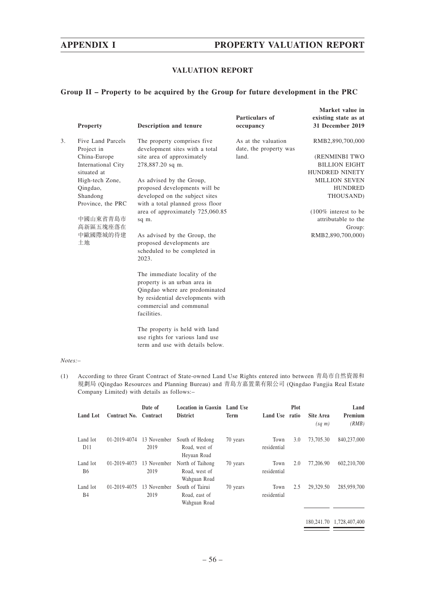## **APPENDIX I PROPERTY VALUATION REPORT**

## **VALUATION REPORT**

### **Group II – Property to be acquired by the Group for future development in the PRC**

|    | <b>Property</b>                                   | <b>Description and tenure</b>                                                                                                                                                 | Particulars of<br>occupancy                   | Market value in<br>existing state as at<br>31 December 2019 |
|----|---------------------------------------------------|-------------------------------------------------------------------------------------------------------------------------------------------------------------------------------|-----------------------------------------------|-------------------------------------------------------------|
| 3. | Five Land Parcels<br>Project in                   | The property comprises five.<br>development sites with a total                                                                                                                | As at the valuation<br>date, the property was | RMB2,890,700,000                                            |
|    | China-Europe<br>International City<br>situated at | site area of approximately<br>278,887.20 sq m.                                                                                                                                | land.                                         | (RENMINBI TWO<br><b>BILLION EIGHT</b><br>HUNDRED NINETY     |
|    | High-tech Zone,<br>Qingdao,<br>Shandong           | As advised by the Group,<br>proposed developments will be<br>developed on the subject sites                                                                                   |                                               | <b>MILLION SEVEN</b><br><b>HUNDRED</b><br>THOUSAND)         |
|    | Province, the PRC<br>中國山東省青島市<br>高新區五塊座落在         | with a total planned gross floor<br>area of approximately 725,060.85<br>sq m.                                                                                                 |                                               | $(100\%$ interest to be<br>attributable to the<br>Group:    |
|    | 中歐國際城的待建<br>土地                                    | As advised by the Group, the<br>proposed developments are<br>scheduled to be completed in<br>2023.                                                                            |                                               | RMB2,890,700,000)                                           |
|    |                                                   | The immediate locality of the<br>property is an urban area in<br>Qingdao where are predominated<br>by residential developments with<br>commercial and communal<br>facilities. |                                               |                                                             |
|    |                                                   | The property is held with land<br>use rights for various land use<br>term and use with details below.                                                                         |                                               |                                                             |

#### *Notes:–*

(1) According to three Grant Contract of State-owned Land Use Rights entered into between 青島市自然資源和 規劃局 (Qingdao Resources and Planning Bureau) and 青島方嘉置業有限公司 (Qingdao Fangjia Real Estate Company Limited) with details as follows:–

| Land Lot                    | Contract No. | Date of<br>Contract | Location in Gaoxin Land Use<br><b>District</b>    | <b>Term</b> | Land Use            | Plot<br>ratio | Site Area<br>$(sq \; m)$ | Land<br>Premium<br>(RMB) |
|-----------------------------|--------------|---------------------|---------------------------------------------------|-------------|---------------------|---------------|--------------------------|--------------------------|
| Land lot<br>D <sub>11</sub> | 01-2019-4074 | 13 November<br>2019 | South of Hedong<br>Road, west of<br>Heyuan Road   | 70 years    | Town<br>residential | 3.0           | 73,705.30                | 840,237,000              |
| Land lot<br><b>B6</b>       | 01-2019-4073 | 13 November<br>2019 | North of Taihong<br>Road, west of<br>Wahguan Road | 70 years    | Town<br>residential | 2.0           | 77,206.90                | 602,210,700              |
| Land lot<br><b>B4</b>       | 01-2019-4075 | 13 November<br>2019 | South of Tairui<br>Road, east of<br>Wahguan Road  | 70 years    | Town<br>residential | 2.5           | 29,329.50                | 285,959,700              |

180,241.70 1,728,407,400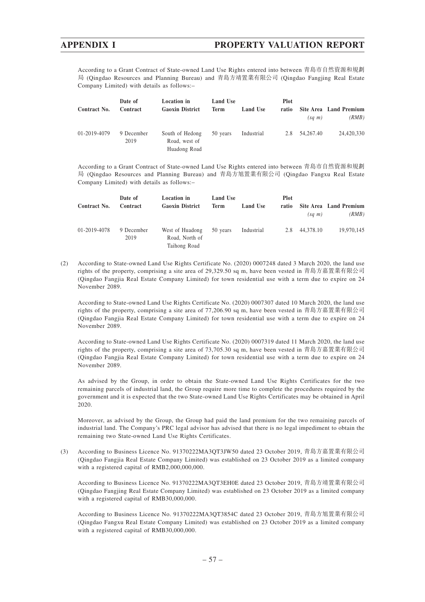According to a Grant Contract of State-owned Land Use Rights entered into between 青島市自然資源和規劃 局 (Qingdao Resources and Planning Bureau) and 青島方靖置業有限公司 (Qingdao Fangjing Real Estate Company Limited) with details as follows:–

| Contract No. | Date of<br>Contract | <b>Location</b> in<br><b>Gaoxin District</b>     | Land Use<br><b>Term</b> | <b>Land Use</b> | <b>Plot</b><br>ratio | $(sq \; m)$ | Site Area Land Premium<br>(RMB) |
|--------------|---------------------|--------------------------------------------------|-------------------------|-----------------|----------------------|-------------|---------------------------------|
| 01-2019-4079 | 9 December<br>2019  | South of Hedong<br>Road, west of<br>Huadong Road | 50 years                | Industrial      | 2.8                  | 54,267.40   | 24,420,330                      |

According to a Grant Contract of State-owned Land Use Rights entered into between 青島市自然資源和規劃 局 (Qingdao Resources and Planning Bureau) and 青島方旭置業有限公司 (Qingdao Fangxu Real Estate Company Limited) with details as follows:–

| Contract No. | Date of<br>Contract | Location in<br><b>Gaoxin District</b>             | Land Use<br>Term | <b>Land Use</b> | <b>Plot</b><br>ratio | $(sq \; m)$ | Site Area Land Premium<br>(RMB) |
|--------------|---------------------|---------------------------------------------------|------------------|-----------------|----------------------|-------------|---------------------------------|
| 01-2019-4078 | 9 December<br>2019  | West of Huadong<br>Road, North of<br>Taihong Road | 50 years         | Industrial      | 2.8                  | 44.378.10   | 19.970.145                      |

(2) According to State-owned Land Use Rights Certificate No. (2020) 0007248 dated 3 March 2020, the land use rights of the property, comprising a site area of 29,329.50 sq m, have been vested in 青島方嘉置業有限公司 (Qingdao Fangjia Real Estate Company Limited) for town residential use with a term due to expire on 24 November 2089.

According to State-owned Land Use Rights Certificate No. (2020) 0007307 dated 10 March 2020, the land use rights of the property, comprising a site area of 77,206.90 sq m, have been vested in 青島方嘉置業有限公司 (Qingdao Fangjia Real Estate Company Limited) for town residential use with a term due to expire on 24 November 2089.

According to State-owned Land Use Rights Certificate No. (2020) 0007319 dated 11 March 2020, the land use rights of the property, comprising a site area of 73,705.30 sq m, have been vested in 青島方嘉置業有限公司 (Qingdao Fangjia Real Estate Company Limited) for town residential use with a term due to expire on 24 November 2089.

As advised by the Group, in order to obtain the State-owned Land Use Rights Certificates for the two remaining parcels of industrial land, the Group require more time to complete the procedures required by the government and it is expected that the two State-owned Land Use Rights Certificates may be obtained in April 2020.

Moreover, as advised by the Group, the Group had paid the land premium for the two remaining parcels of industrial land. The Company's PRC legal advisor has advised that there is no legal impediment to obtain the remaining two State-owned Land Use Rights Certificates.

(3) According to Business Licence No. 91370222MA3QT3JW50 dated 23 October 2019, 青島方嘉置業有限公司 (Qingdao Fangjia Real Estate Company Limited) was established on 23 October 2019 as a limited company with a registered capital of RMB2,000,000,000.

According to Business Licence No. 91370222MA3QT3EH0E dated 23 October 2019, 青島方靖置業有限公司 (Qingdao Fangjing Real Estate Company Limited) was established on 23 October 2019 as a limited company with a registered capital of RMB30,000,000.

According to Business Licence No. 91370222MA3QT3854C dated 23 October 2019, 青島方旭置業有限公司 (Qingdao Fangxu Real Estate Company Limited) was established on 23 October 2019 as a limited company with a registered capital of RMB30,000,000.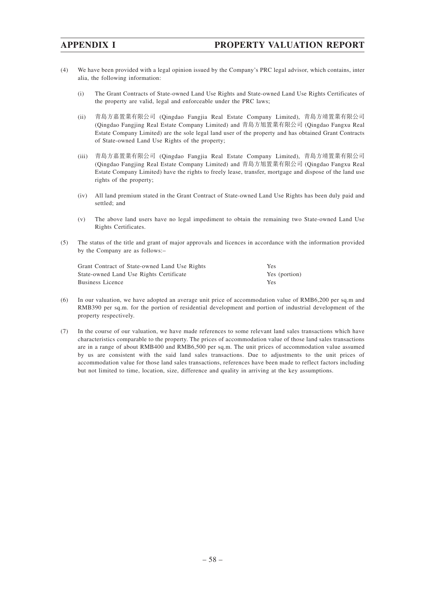- (4) We have been provided with a legal opinion issued by the Company's PRC legal advisor, which contains, inter alia, the following information:
	- (i) The Grant Contracts of State-owned Land Use Rights and State-owned Land Use Rights Certificates of the property are valid, legal and enforceable under the PRC laws;
	- (ii) 青島方嘉置業有限公司 (Qingdao Fangjia Real Estate Company Limited), 青島方靖置業有限公司 (Qingdao Fangjing Real Estate Company Limited) and 青島方旭置業有限公司 (Qingdao Fangxu Real Estate Company Limited) are the sole legal land user of the property and has obtained Grant Contracts of State-owned Land Use Rights of the property;
	- (iii) 青島方嘉置業有限公司 (Qingdao Fangjia Real Estate Company Limited), 青島方靖置業有限公司 (Qingdao Fangjing Real Estate Company Limited) and 青島方旭置業有限公司 (Qingdao Fangxu Real Estate Company Limited) have the rights to freely lease, transfer, mortgage and dispose of the land use rights of the property;
	- (iv) All land premium stated in the Grant Contract of State-owned Land Use Rights has been duly paid and settled; and
	- (v) The above land users have no legal impediment to obtain the remaining two State-owned Land Use Rights Certificates.
- (5) The status of the title and grant of major approvals and licences in accordance with the information provided by the Company are as follows:–

| Grant Contract of State-owned Land Use Rights | Yes           |
|-----------------------------------------------|---------------|
| State-owned Land Use Rights Certificate       | Yes (portion) |
| Business Licence                              | Yes           |

- (6) In our valuation, we have adopted an average unit price of accommodation value of RMB6,200 per sq.m and RMB390 per sq.m. for the portion of residential development and portion of industrial development of the property respectively.
- (7) In the course of our valuation, we have made references to some relevant land sales transactions which have characteristics comparable to the property. The prices of accommodation value of those land sales transactions are in a range of about RMB400 and RMB6,500 per sq.m. The unit prices of accommodation value assumed by us are consistent with the said land sales transactions. Due to adjustments to the unit prices of accommodation value for those land sales transactions, references have been made to reflect factors including but not limited to time, location, size, difference and quality in arriving at the key assumptions.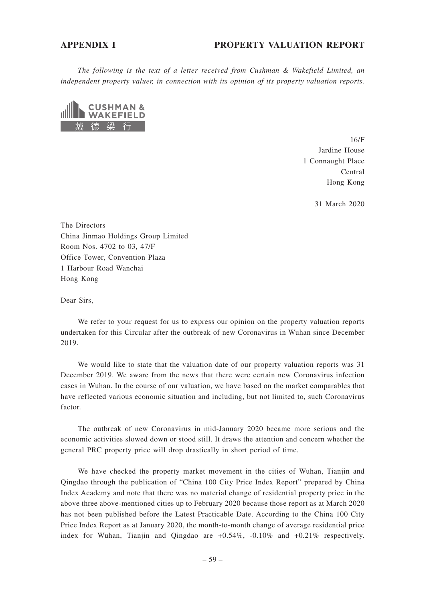### **APPENDIX I PROPERTY VALUATION REPORT**

*The following is the text of a letter received from Cushman & Wakefield Limited, an independent property valuer, in connection with its opinion of its property valuation reports.*



16/F Jardine House 1 Connaught Place Central Hong Kong

31 March 2020

The Directors China Jinmao Holdings Group Limited Room Nos. 4702 to 03, 47/F Office Tower, Convention Plaza 1 Harbour Road Wanchai Hong Kong

Dear Sirs,

We refer to your request for us to express our opinion on the property valuation reports undertaken for this Circular after the outbreak of new Coronavirus in Wuhan since December 2019.

We would like to state that the valuation date of our property valuation reports was 31 December 2019. We aware from the news that there were certain new Coronavirus infection cases in Wuhan. In the course of our valuation, we have based on the market comparables that have reflected various economic situation and including, but not limited to, such Coronavirus factor.

The outbreak of new Coronavirus in mid-January 2020 became more serious and the economic activities slowed down or stood still. It draws the attention and concern whether the general PRC property price will drop drastically in short period of time.

We have checked the property market movement in the cities of Wuhan, Tianjin and Qingdao through the publication of "China 100 City Price Index Report" prepared by China Index Academy and note that there was no material change of residential property price in the above three above-mentioned cities up to February 2020 because those report as at March 2020 has not been published before the Latest Practicable Date. According to the China 100 City Price Index Report as at January 2020, the month-to-month change of average residential price index for Wuhan, Tianjin and Qingdao are +0.54%, -0.10% and +0.21% respectively.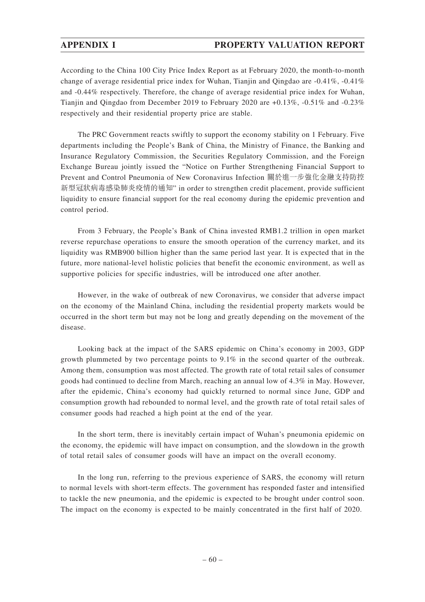According to the China 100 City Price Index Report as at February 2020, the month-to-month change of average residential price index for Wuhan, Tianjin and Qingdao are -0.41%, -0.41% and -0.44% respectively. Therefore, the change of average residential price index for Wuhan, Tianjin and Qingdao from December 2019 to February 2020 are +0.13%, -0.51% and -0.23% respectively and their residential property price are stable.

The PRC Government reacts swiftly to support the economy stability on 1 February. Five departments including the People's Bank of China, the Ministry of Finance, the Banking and Insurance Regulatory Commission, the Securities Regulatory Commission, and the Foreign Exchange Bureau jointly issued the "Notice on Further Strengthening Financial Support to Prevent and Control Pneumonia of New Coronavirus Infection 關於進一步強化金融支持防控 新型冠狀病毒感染肺炎疫情的通知" in order to strengthen credit placement, provide sufficient liquidity to ensure financial support for the real economy during the epidemic prevention and control period.

From 3 February, the People's Bank of China invested RMB1.2 trillion in open market reverse repurchase operations to ensure the smooth operation of the currency market, and its liquidity was RMB900 billion higher than the same period last year. It is expected that in the future, more national-level holistic policies that benefit the economic environment, as well as supportive policies for specific industries, will be introduced one after another.

However, in the wake of outbreak of new Coronavirus, we consider that adverse impact on the economy of the Mainland China, including the residential property markets would be occurred in the short term but may not be long and greatly depending on the movement of the disease.

Looking back at the impact of the SARS epidemic on China's economy in 2003, GDP growth plummeted by two percentage points to 9.1% in the second quarter of the outbreak. Among them, consumption was most affected. The growth rate of total retail sales of consumer goods had continued to decline from March, reaching an annual low of 4.3% in May. However, after the epidemic, China's economy had quickly returned to normal since June, GDP and consumption growth had rebounded to normal level, and the growth rate of total retail sales of consumer goods had reached a high point at the end of the year.

In the short term, there is inevitably certain impact of Wuhan's pneumonia epidemic on the economy, the epidemic will have impact on consumption, and the slowdown in the growth of total retail sales of consumer goods will have an impact on the overall economy.

In the long run, referring to the previous experience of SARS, the economy will return to normal levels with short-term effects. The government has responded faster and intensified to tackle the new pneumonia, and the epidemic is expected to be brought under control soon. The impact on the economy is expected to be mainly concentrated in the first half of 2020.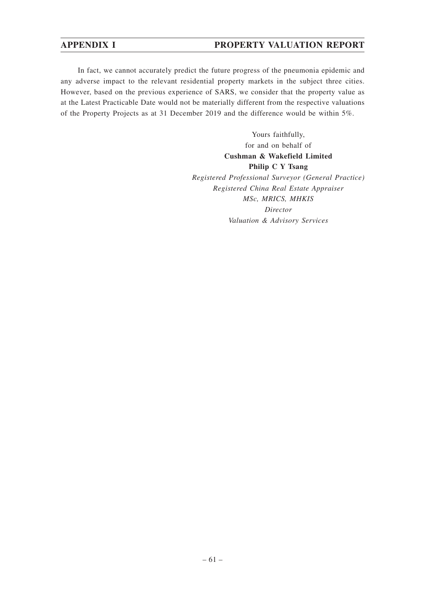## **APPENDIX I PROPERTY VALUATION REPORT**

In fact, we cannot accurately predict the future progress of the pneumonia epidemic and any adverse impact to the relevant residential property markets in the subject three cities. However, based on the previous experience of SARS, we consider that the property value as at the Latest Practicable Date would not be materially different from the respective valuations of the Property Projects as at 31 December 2019 and the difference would be within 5%.

> Yours faithfully, for and on behalf of **Cushman & Wakefield Limited Philip C Y Tsang** *Registered Professional Surveyor (General Practice) Registered China Real Estate Appraiser MSc, MRICS, MHKIS Director Valuation & Advisory Services*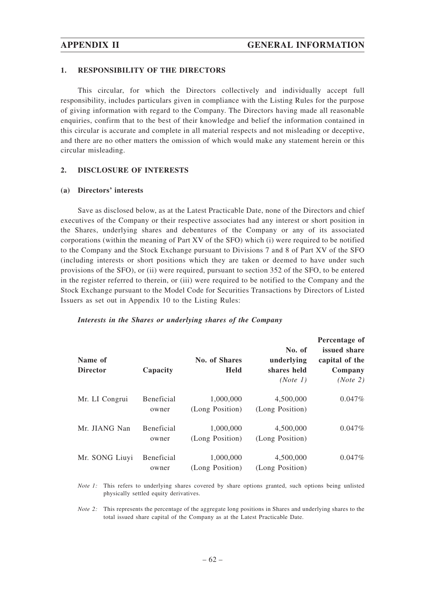#### **1. RESPONSIBILITY OF THE DIRECTORS**

This circular, for which the Directors collectively and individually accept full responsibility, includes particulars given in compliance with the Listing Rules for the purpose of giving information with regard to the Company. The Directors having made all reasonable enquiries, confirm that to the best of their knowledge and belief the information contained in this circular is accurate and complete in all material respects and not misleading or deceptive, and there are no other matters the omission of which would make any statement herein or this circular misleading.

#### **2. DISCLOSURE OF INTERESTS**

#### **(a) Directors' interests**

Save as disclosed below, as at the Latest Practicable Date, none of the Directors and chief executives of the Company or their respective associates had any interest or short position in the Shares, underlying shares and debentures of the Company or any of its associated corporations (within the meaning of Part XV of the SFO) which (i) were required to be notified to the Company and the Stock Exchange pursuant to Divisions 7 and 8 of Part XV of the SFO (including interests or short positions which they are taken or deemed to have under such provisions of the SFO), or (ii) were required, pursuant to section 352 of the SFO, to be entered in the register referred to therein, or (iii) were required to be notified to the Company and the Stock Exchange pursuant to the Model Code for Securities Transactions by Directors of Listed Issuers as set out in Appendix 10 to the Listing Rules:

| Name of<br><b>Director</b> | Capacity                   | No. of Shares<br><b>Held</b> | No. of<br>underlying<br>shares held<br>(Note 1) | Percentage of<br>issued share<br>capital of the<br>Company<br>(Note 2) |
|----------------------------|----------------------------|------------------------------|-------------------------------------------------|------------------------------------------------------------------------|
| Mr. LI Congrui             | <b>Beneficial</b><br>owner | 1,000,000<br>(Long Position) | 4,500,000<br>(Long Position)                    | 0.047%                                                                 |
| Mr. JIANG Nan              | <b>Beneficial</b><br>owner | 1,000,000<br>(Long Position) | 4,500,000<br>(Long Position)                    | $0.047\%$                                                              |
| Mr. SONG Liuyi             | <b>Beneficial</b><br>owner | 1,000,000<br>(Long Position) | 4,500,000<br>(Long Position)                    | $0.047\%$                                                              |

#### *Interests in the Shares or underlying shares of the Company*

*Note 1:* This refers to underlying shares covered by share options granted, such options being unlisted physically settled equity derivatives.

*Note 2*: This represents the percentage of the aggregate long positions in Shares and underlying shares to the total issued share capital of the Company as at the Latest Practicable Date.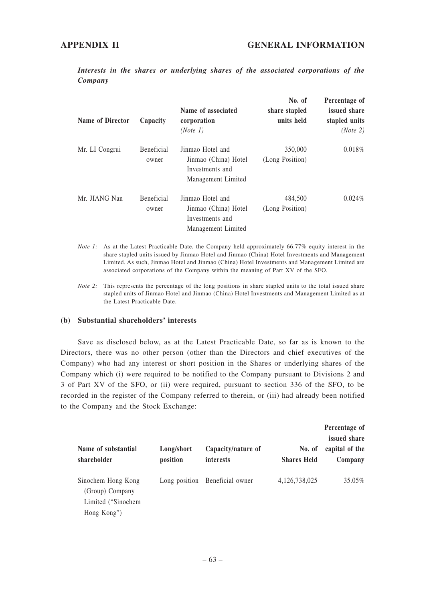*Interests in the shares or underlying shares of the associated corporations of the Company*

| Name of Director | Capacity                   | Name of associated<br>corporation<br>(Note 1)                                     | No. of<br>share stapled<br>units held | Percentage of<br>issued share<br>stapled units<br>(Note 2) |
|------------------|----------------------------|-----------------------------------------------------------------------------------|---------------------------------------|------------------------------------------------------------|
| Mr. LI Congrui   | <b>Beneficial</b><br>owner | Jinmao Hotel and<br>Jinmao (China) Hotel<br>Investments and<br>Management Limited | 350,000<br>(Long Position)            | 0.018%                                                     |
| Mr. JIANG Nan    | <b>Beneficial</b><br>owner | Jinmao Hotel and<br>Jinmao (China) Hotel<br>Investments and<br>Management Limited | 484,500<br>(Long Position)            | 0.024%                                                     |

- *Note 1:* As at the Latest Practicable Date, the Company held approximately 66.77% equity interest in the share stapled units issued by Jinmao Hotel and Jinmao (China) Hotel Investments and Management Limited. As such, Jinmao Hotel and Jinmao (China) Hotel Investments and Management Limited are associated corporations of the Company within the meaning of Part XV of the SFO.
- *Note 2:* This represents the percentage of the long positions in share stapled units to the total issued share stapled units of Jinmao Hotel and Jinmao (China) Hotel Investments and Management Limited as at the Latest Practicable Date.

### **(b) Substantial shareholders' interests**

Save as disclosed below, as at the Latest Practicable Date, so far as is known to the Directors, there was no other person (other than the Directors and chief executives of the Company) who had any interest or short position in the Shares or underlying shares of the Company which (i) were required to be notified to the Company pursuant to Divisions 2 and 3 of Part XV of the SFO, or (ii) were required, pursuant to section 336 of the SFO, to be recorded in the register of the Company referred to therein, or (iii) had already been notified to the Company and the Stock Exchange:

| Name of substantial<br>shareholder                                         | Long/short<br>position | Capacity/nature of<br>interests | No. of<br><b>Shares Held</b> | Percentage of<br>issued share<br>capital of the<br>Company |
|----------------------------------------------------------------------------|------------------------|---------------------------------|------------------------------|------------------------------------------------------------|
| Sinochem Hong Kong<br>(Group) Company<br>Limited ("Sinochem<br>Hong Kong") |                        | Long position Beneficial owner  | 4, 126, 738, 025             | 35.05%                                                     |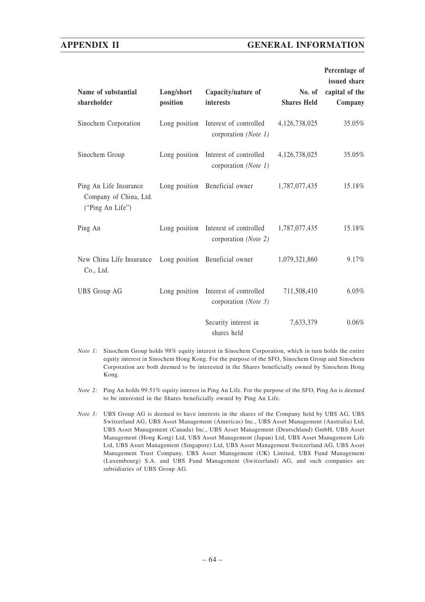| Name of substantial<br>shareholder                                   | Long/short<br>position | Capacity/nature of<br>interests                              | No. of<br><b>Shares Held</b> | Percentage of<br>issued share<br>capital of the<br>Company |
|----------------------------------------------------------------------|------------------------|--------------------------------------------------------------|------------------------------|------------------------------------------------------------|
| Sinochem Corporation                                                 |                        | Long position Interest of controlled<br>corporation (Note 1) | 4,126,738,025                | 35.05%                                                     |
| Sinochem Group                                                       |                        | Long position Interest of controlled<br>corporation (Note 1) | 4,126,738,025                | 35.05%                                                     |
| Ping An Life Insurance<br>Company of China, Ltd.<br>("Ping An Life") |                        | Long position Beneficial owner                               | 1,787,077,435                | 15.18%                                                     |
| Ping An                                                              |                        | Long position Interest of controlled<br>corporation (Note 2) | 1,787,077,435                | 15.18%                                                     |
| New China Life Insurance<br>Co., Ltd.                                |                        | Long position Beneficial owner                               | 1,079,321,860                | 9.17%                                                      |
| <b>UBS</b> Group AG                                                  |                        | Long position Interest of controlled<br>corporation (Note 3) | 711,508,410                  | 6.05%                                                      |
|                                                                      |                        | Security interest in<br>shares held                          | 7,633,379                    | 0.06%                                                      |

- *Note 1:* Sinochem Group holds 98% equity interest in Sinochem Corporation, which in turn holds the entire equity interest in Sinochem Hong Kong. For the purpose of the SFO, Sinochem Group and Sinochem Corporation are both deemed to be interested in the Shares beneficially owned by Sinochem Hong Kong.
- *Note 2:* Ping An holds 99.51% equity interest in Ping An Life. For the purpose of the SFO, Ping An is deemed to be interested in the Shares beneficially owned by Ping An Life.
- *Note 3:* UBS Group AG is deemed to have interests in the shares of the Company held by UBS AG, UBS Switzerland AG, UBS Asset Management (Americas) Inc., UBS Asset Management (Australia) Ltd, UBS Asset Management (Canada) Inc., UBS Asset Management (Deutschland) GmbH, UBS Asset Management (Hong Kong) Ltd, UBS Asset Management (Japan) Ltd, UBS Asset Management Life Ltd, UBS Asset Management (Singapore) Ltd, UBS Asset Management Switzerland AG, UBS Asset Management Trust Company, UBS Asset Management (UK) Limited, UBS Fund Management (Luxembourg) S.A. and UBS Fund Management (Switzerland) AG, and such companies are subsidiaries of UBS Group AG.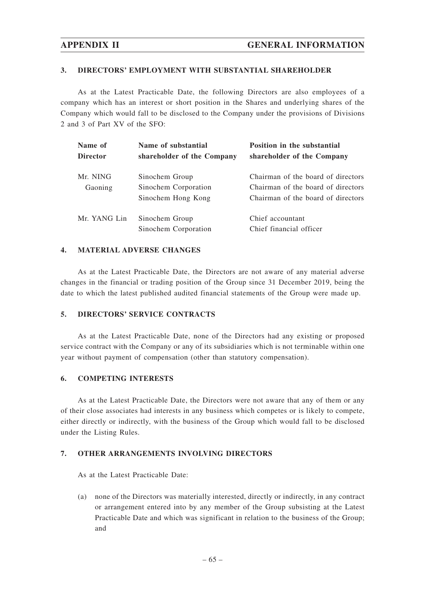#### **3. DIRECTORS' EMPLOYMENT WITH SUBSTANTIAL SHAREHOLDER**

As at the Latest Practicable Date, the following Directors are also employees of a company which has an interest or short position in the Shares and underlying shares of the Company which would fall to be disclosed to the Company under the provisions of Divisions 2 and 3 of Part XV of the SFO:

| Name of<br><b>Director</b> | Name of substantial<br>shareholder of the Company            | <b>Position in the substantial</b><br>shareholder of the Company                                               |
|----------------------------|--------------------------------------------------------------|----------------------------------------------------------------------------------------------------------------|
| Mr. NING<br>Gaoning        | Sinochem Group<br>Sinochem Corporation<br>Sinochem Hong Kong | Chairman of the board of directors<br>Chairman of the board of directors<br>Chairman of the board of directors |
| Mr. YANG Lin               | Sinochem Group<br>Sinochem Corporation                       | Chief accountant<br>Chief financial officer                                                                    |

#### **4. MATERIAL ADVERSE CHANGES**

As at the Latest Practicable Date, the Directors are not aware of any material adverse changes in the financial or trading position of the Group since 31 December 2019, being the date to which the latest published audited financial statements of the Group were made up.

#### **5. DIRECTORS' SERVICE CONTRACTS**

As at the Latest Practicable Date, none of the Directors had any existing or proposed service contract with the Company or any of its subsidiaries which is not terminable within one year without payment of compensation (other than statutory compensation).

#### **6. COMPETING INTERESTS**

As at the Latest Practicable Date, the Directors were not aware that any of them or any of their close associates had interests in any business which competes or is likely to compete, either directly or indirectly, with the business of the Group which would fall to be disclosed under the Listing Rules.

## **7. OTHER ARRANGEMENTS INVOLVING DIRECTORS**

As at the Latest Practicable Date:

(a) none of the Directors was materially interested, directly or indirectly, in any contract or arrangement entered into by any member of the Group subsisting at the Latest Practicable Date and which was significant in relation to the business of the Group; and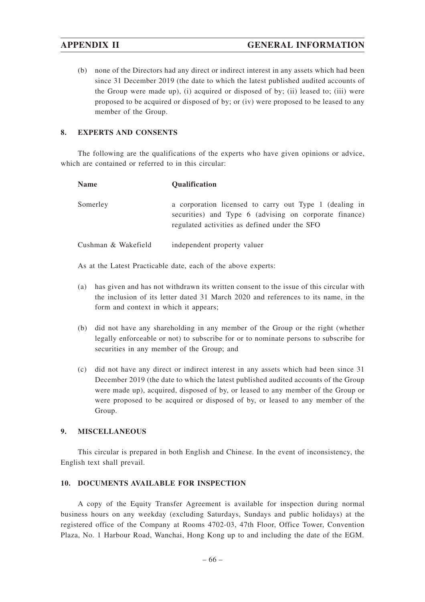(b) none of the Directors had any direct or indirect interest in any assets which had been since 31 December 2019 (the date to which the latest published audited accounts of the Group were made up), (i) acquired or disposed of by; (ii) leased to; (iii) were proposed to be acquired or disposed of by; or (iv) were proposed to be leased to any member of the Group.

## **8. EXPERTS AND CONSENTS**

The following are the qualifications of the experts who have given opinions or advice, which are contained or referred to in this circular:

| <b>Name</b>         | <b>Oualification</b>                                                                                                                                              |
|---------------------|-------------------------------------------------------------------------------------------------------------------------------------------------------------------|
| Somerley            | a corporation licensed to carry out Type 1 (dealing in<br>securities) and Type 6 (advising on corporate finance)<br>regulated activities as defined under the SFO |
| Cushman & Wakefield | independent property valuer                                                                                                                                       |

As at the Latest Practicable date, each of the above experts:

- (a) has given and has not withdrawn its written consent to the issue of this circular with the inclusion of its letter dated 31 March 2020 and references to its name, in the form and context in which it appears;
- (b) did not have any shareholding in any member of the Group or the right (whether legally enforceable or not) to subscribe for or to nominate persons to subscribe for securities in any member of the Group; and
- (c) did not have any direct or indirect interest in any assets which had been since 31 December 2019 (the date to which the latest published audited accounts of the Group were made up), acquired, disposed of by, or leased to any member of the Group or were proposed to be acquired or disposed of by, or leased to any member of the Group.

## **9. MISCELLANEOUS**

This circular is prepared in both English and Chinese. In the event of inconsistency, the English text shall prevail.

## **10. DOCUMENTS AVAILABLE FOR INSPECTION**

A copy of the Equity Transfer Agreement is available for inspection during normal business hours on any weekday (excluding Saturdays, Sundays and public holidays) at the registered office of the Company at Rooms 4702-03, 47th Floor, Office Tower, Convention Plaza, No. 1 Harbour Road, Wanchai, Hong Kong up to and including the date of the EGM.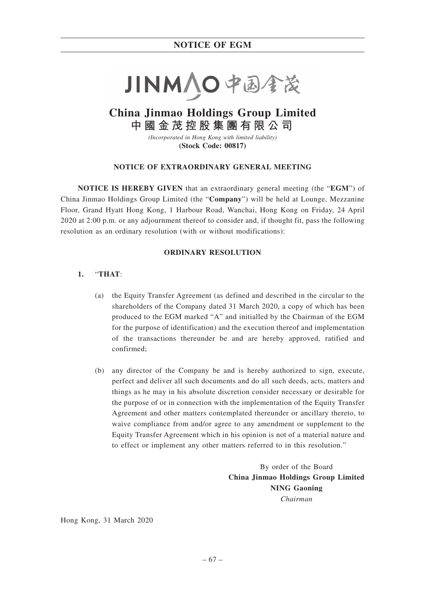

# **China Jinmao Holdings Group Limited 中國金茂控股集團有限公司**

*(Incorporated in Hong Kong with limited liability)* **(Stock Code: 00817)**

### **NOTICE OF EXTRAORDINARY GENERAL MEETING**

**NOTICE IS HEREBY GIVEN** that an extraordinary general meeting (the "**EGM**") of China Jinmao Holdings Group Limited (the "**Company**") will be held at Lounge, Mezzanine Floor, Grand Hyatt Hong Kong, 1 Harbour Road, Wanchai, Hong Kong on Friday, 24 April 2020 at 2:00 p.m. or any adjournment thereof to consider and, if thought fit, pass the following resolution as an ordinary resolution (with or without modifications):

## **ORDINARY RESOLUTION**

## **1.** "**THAT**:

- (a) the Equity Transfer Agreement (as defined and described in the circular to the shareholders of the Company dated 31 March 2020, a copy of which has been produced to the EGM marked "A" and initialled by the Chairman of the EGM for the purpose of identification) and the execution thereof and implementation of the transactions thereunder be and are hereby approved, ratified and confirmed;
- (b) any director of the Company be and is hereby authorized to sign, execute, perfect and deliver all such documents and do all such deeds, acts, matters and things as he may in his absolute discretion consider necessary or desirable for the purpose of or in connection with the implementation of the Equity Transfer Agreement and other matters contemplated thereunder or ancillary thereto, to waive compliance from and/or agree to any amendment or supplement to the Equity Transfer Agreement which in his opinion is not of a material nature and to effect or implement any other matters referred to in this resolution."

By order of the Board **China Jinmao Holdings Group Limited NING Gaoning** *Chairman*

Hong Kong, 31 March 2020